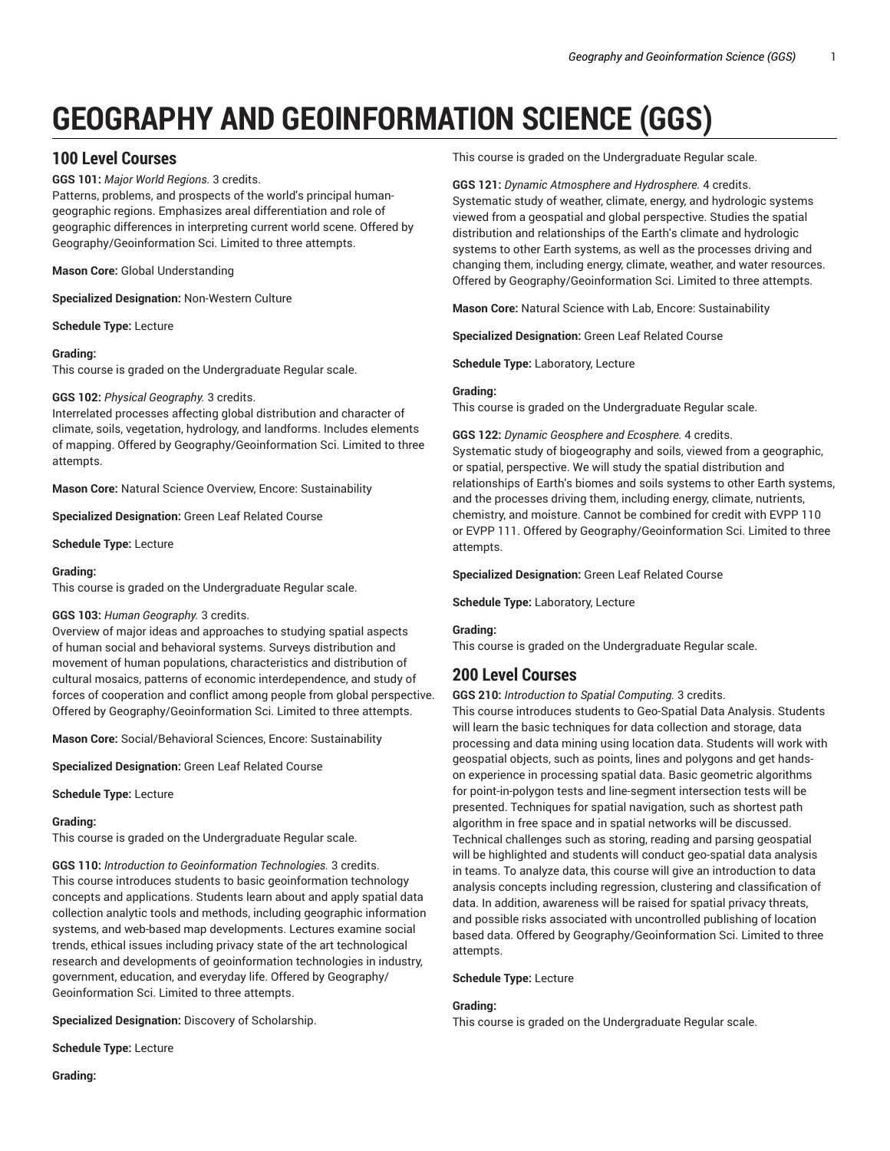# **GEOGRAPHY AND GEOINFORMATION SCIENCE (GGS)**

# **100 Level Courses**

**GGS 101:** *Major World Regions.* 3 credits.

Patterns, problems, and prospects of the world's principal humangeographic regions. Emphasizes areal differentiation and role of geographic differences in interpreting current world scene. Offered by Geography/Geoinformation Sci. Limited to three attempts.

**Mason Core:** Global Understanding

**Specialized Designation:** Non-Western Culture

**Schedule Type:** Lecture

# **Grading:**

This course is graded on the Undergraduate Regular scale.

# **GGS 102:** *Physical Geography.* 3 credits.

Interrelated processes affecting global distribution and character of climate, soils, vegetation, hydrology, and landforms. Includes elements of mapping. Offered by Geography/Geoinformation Sci. Limited to three attempts.

**Mason Core:** Natural Science Overview, Encore: Sustainability

**Specialized Designation:** Green Leaf Related Course

**Schedule Type:** Lecture

# **Grading:**

This course is graded on the Undergraduate Regular scale.

# **GGS 103:** *Human Geography.* 3 credits.

Overview of major ideas and approaches to studying spatial aspects of human social and behavioral systems. Surveys distribution and movement of human populations, characteristics and distribution of cultural mosaics, patterns of economic interdependence, and study of forces of cooperation and conflict among people from global perspective. Offered by Geography/Geoinformation Sci. Limited to three attempts.

**Mason Core:** Social/Behavioral Sciences, Encore: Sustainability

**Specialized Designation:** Green Leaf Related Course

**Schedule Type:** Lecture

# **Grading:**

This course is graded on the Undergraduate Regular scale.

**GGS 110:** *Introduction to Geoinformation Technologies.* 3 credits. This course introduces students to basic geoinformation technology concepts and applications. Students learn about and apply spatial data collection analytic tools and methods, including geographic information systems, and web-based map developments. Lectures examine social trends, ethical issues including privacy state of the art technological research and developments of geoinformation technologies in industry, government, education, and everyday life. Offered by Geography/ Geoinformation Sci. Limited to three attempts.

**Specialized Designation:** Discovery of Scholarship.

**Schedule Type:** Lecture

**Grading:**

This course is graded on the Undergraduate Regular scale.

# **GGS 121:** *Dynamic Atmosphere and Hydrosphere.* 4 credits.

Systematic study of weather, climate, energy, and hydrologic systems viewed from a geospatial and global perspective. Studies the spatial distribution and relationships of the Earth's climate and hydrologic systems to other Earth systems, as well as the processes driving and changing them, including energy, climate, weather, and water resources. Offered by Geography/Geoinformation Sci. Limited to three attempts.

**Mason Core:** Natural Science with Lab, Encore: Sustainability

**Specialized Designation:** Green Leaf Related Course

**Schedule Type:** Laboratory, Lecture

# **Grading:**

This course is graded on the Undergraduate Regular scale.

**GGS 122:** *Dynamic Geosphere and Ecosphere.* 4 credits.

Systematic study of biogeography and soils, viewed from a geographic, or spatial, perspective. We will study the spatial distribution and relationships of Earth's biomes and soils systems to other Earth systems, and the processes driving them, including energy, climate, nutrients, chemistry, and moisture. Cannot be combined for credit with EVPP 110 or EVPP 111. Offered by Geography/Geoinformation Sci. Limited to three attempts.

**Specialized Designation:** Green Leaf Related Course

**Schedule Type:** Laboratory, Lecture

**Grading:**

This course is graded on the Undergraduate Regular scale.

# **200 Level Courses**

**GGS 210:** *Introduction to Spatial Computing.* 3 credits.

This course introduces students to Geo-Spatial Data Analysis. Students will learn the basic techniques for data collection and storage, data processing and data mining using location data. Students will work with geospatial objects, such as points, lines and polygons and get handson experience in processing spatial data. Basic geometric algorithms for point-in-polygon tests and line-segment intersection tests will be presented. Techniques for spatial navigation, such as shortest path algorithm in free space and in spatial networks will be discussed. Technical challenges such as storing, reading and parsing geospatial will be highlighted and students will conduct geo-spatial data analysis in teams. To analyze data, this course will give an introduction to data analysis concepts including regression, clustering and classification of data. In addition, awareness will be raised for spatial privacy threats, and possible risks associated with uncontrolled publishing of location based data. Offered by Geography/Geoinformation Sci. Limited to three attempts.

**Schedule Type:** Lecture

# **Grading:**

This course is graded on the Undergraduate Regular scale.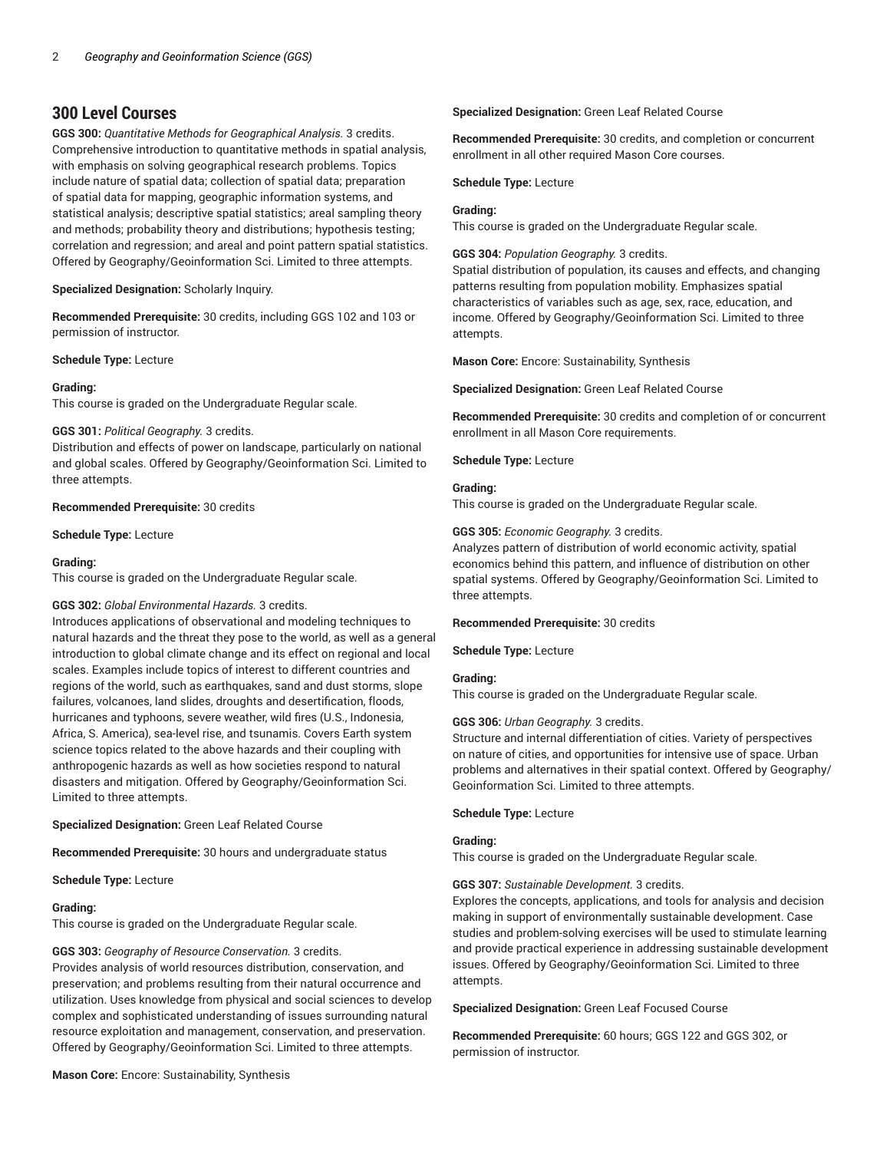# **300 Level Courses**

**GGS 300:** *Quantitative Methods for Geographical Analysis.* 3 credits. Comprehensive introduction to quantitative methods in spatial analysis, with emphasis on solving geographical research problems. Topics include nature of spatial data; collection of spatial data; preparation of spatial data for mapping, geographic information systems, and statistical analysis; descriptive spatial statistics; areal sampling theory and methods; probability theory and distributions; hypothesis testing; correlation and regression; and areal and point pattern spatial statistics. Offered by Geography/Geoinformation Sci. Limited to three attempts.

# **Specialized Designation:** Scholarly Inquiry.

**Recommended Prerequisite:** 30 credits, including GGS 102 and 103 or permission of instructor.

#### **Schedule Type:** Lecture

# **Grading:**

This course is graded on the Undergraduate Regular scale.

#### **GGS 301:** *Political Geography.* 3 credits.

Distribution and effects of power on landscape, particularly on national and global scales. Offered by Geography/Geoinformation Sci. Limited to three attempts.

# **Recommended Prerequisite:** 30 credits

**Schedule Type:** Lecture

#### **Grading:**

This course is graded on the Undergraduate Regular scale.

# **GGS 302:** *Global Environmental Hazards.* 3 credits.

Introduces applications of observational and modeling techniques to natural hazards and the threat they pose to the world, as well as a general introduction to global climate change and its effect on regional and local scales. Examples include topics of interest to different countries and regions of the world, such as earthquakes, sand and dust storms, slope failures, volcanoes, land slides, droughts and desertification, floods, hurricanes and typhoons, severe weather, wild fires (U.S., Indonesia, Africa, S. America), sea-level rise, and tsunamis. Covers Earth system science topics related to the above hazards and their coupling with anthropogenic hazards as well as how societies respond to natural disasters and mitigation. Offered by Geography/Geoinformation Sci. Limited to three attempts.

# **Specialized Designation:** Green Leaf Related Course

**Recommended Prerequisite:** 30 hours and undergraduate status

**Schedule Type:** Lecture

#### **Grading:**

This course is graded on the Undergraduate Regular scale.

#### **GGS 303:** *Geography of Resource Conservation.* 3 credits.

Provides analysis of world resources distribution, conservation, and preservation; and problems resulting from their natural occurrence and utilization. Uses knowledge from physical and social sciences to develop complex and sophisticated understanding of issues surrounding natural resource exploitation and management, conservation, and preservation. Offered by Geography/Geoinformation Sci. Limited to three attempts.

#### **Mason Core:** Encore: Sustainability, Synthesis

# **Specialized Designation:** Green Leaf Related Course

**Recommended Prerequisite:** 30 credits, and completion or concurrent enrollment in all other required Mason Core courses.

**Schedule Type:** Lecture

#### **Grading:**

This course is graded on the Undergraduate Regular scale.

**GGS 304:** *Population Geography.* 3 credits.

Spatial distribution of population, its causes and effects, and changing patterns resulting from population mobility. Emphasizes spatial characteristics of variables such as age, sex, race, education, and income. Offered by Geography/Geoinformation Sci. Limited to three attempts.

**Mason Core:** Encore: Sustainability, Synthesis

**Specialized Designation:** Green Leaf Related Course

**Recommended Prerequisite:** 30 credits and completion of or concurrent enrollment in all Mason Core requirements.

**Schedule Type:** Lecture

#### **Grading:**

This course is graded on the Undergraduate Regular scale.

#### **GGS 305:** *Economic Geography.* 3 credits.

Analyzes pattern of distribution of world economic activity, spatial economics behind this pattern, and influence of distribution on other spatial systems. Offered by Geography/Geoinformation Sci. Limited to three attempts.

#### **Recommended Prerequisite:** 30 credits

**Schedule Type:** Lecture

# **Grading:**

This course is graded on the Undergraduate Regular scale.

#### **GGS 306:** *Urban Geography.* 3 credits.

Structure and internal differentiation of cities. Variety of perspectives on nature of cities, and opportunities for intensive use of space. Urban problems and alternatives in their spatial context. Offered by Geography/ Geoinformation Sci. Limited to three attempts.

# **Schedule Type:** Lecture

# **Grading:**

This course is graded on the Undergraduate Regular scale.

#### **GGS 307:** *Sustainable Development.* 3 credits.

Explores the concepts, applications, and tools for analysis and decision making in support of environmentally sustainable development. Case studies and problem-solving exercises will be used to stimulate learning and provide practical experience in addressing sustainable development issues. Offered by Geography/Geoinformation Sci. Limited to three attempts.

**Specialized Designation:** Green Leaf Focused Course

**Recommended Prerequisite:** 60 hours; GGS 122 and GGS 302, or permission of instructor.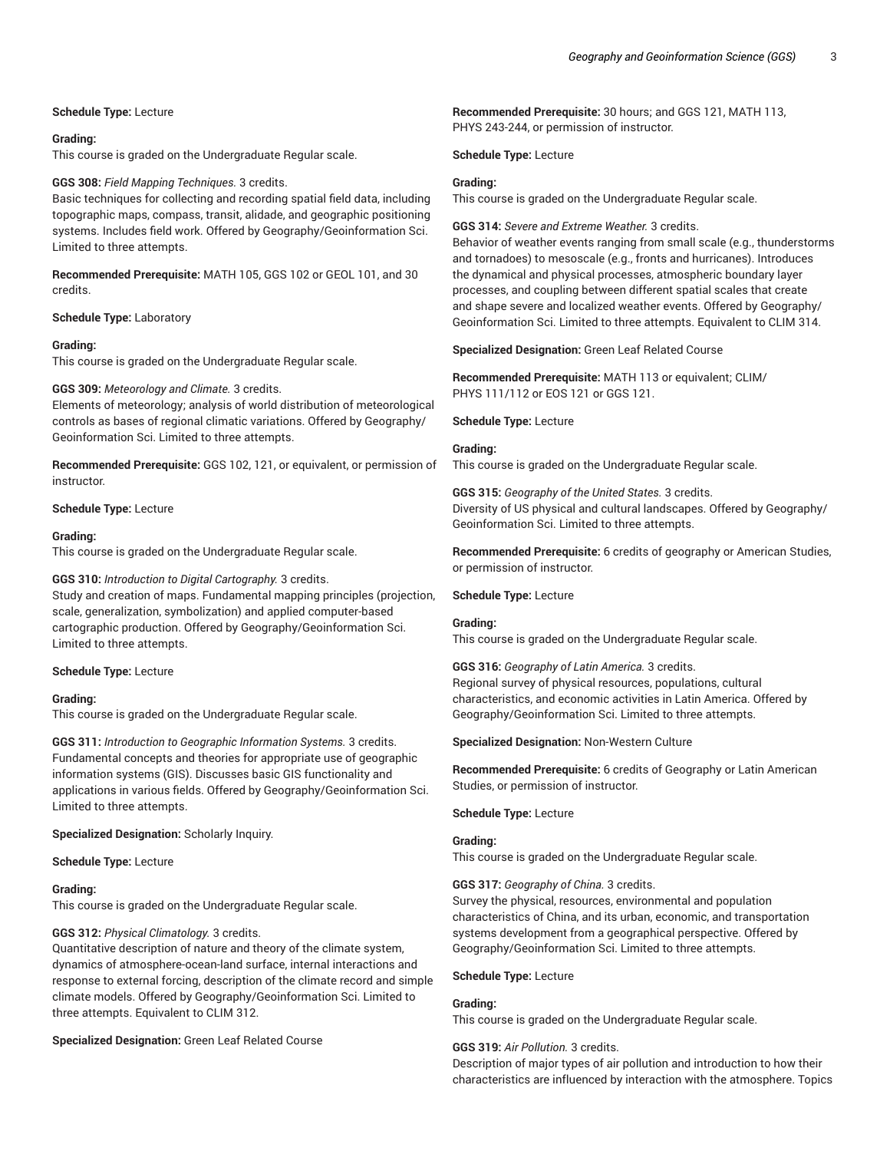**Schedule Type:** Lecture

#### **Grading:**

This course is graded on the Undergraduate Regular scale.

# **GGS 308:** *Field Mapping Techniques.* 3 credits.

Basic techniques for collecting and recording spatial field data, including topographic maps, compass, transit, alidade, and geographic positioning systems. Includes field work. Offered by Geography/Geoinformation Sci. Limited to three attempts.

**Recommended Prerequisite:** MATH 105, GGS 102 or GEOL 101, and 30 credits.

# **Schedule Type:** Laboratory

#### **Grading:**

This course is graded on the Undergraduate Regular scale.

#### **GGS 309:** *Meteorology and Climate.* 3 credits.

Elements of meteorology; analysis of world distribution of meteorological controls as bases of regional climatic variations. Offered by Geography/ Geoinformation Sci. Limited to three attempts.

**Recommended Prerequisite:** GGS 102, 121, or equivalent, or permission of instructor.

#### **Schedule Type:** Lecture

#### **Grading:**

This course is graded on the Undergraduate Regular scale.

#### **GGS 310:** *Introduction to Digital Cartography.* 3 credits.

Study and creation of maps. Fundamental mapping principles (projection, scale, generalization, symbolization) and applied computer-based cartographic production. Offered by Geography/Geoinformation Sci. Limited to three attempts.

#### **Schedule Type:** Lecture

#### **Grading:**

This course is graded on the Undergraduate Regular scale.

**GGS 311:** *Introduction to Geographic Information Systems.* 3 credits. Fundamental concepts and theories for appropriate use of geographic information systems (GIS). Discusses basic GIS functionality and applications in various fields. Offered by Geography/Geoinformation Sci. Limited to three attempts.

#### **Specialized Designation:** Scholarly Inquiry.

**Schedule Type:** Lecture

#### **Grading:**

This course is graded on the Undergraduate Regular scale.

# **GGS 312:** *Physical Climatology.* 3 credits.

Quantitative description of nature and theory of the climate system, dynamics of atmosphere-ocean-land surface, internal interactions and response to external forcing, description of the climate record and simple climate models. Offered by Geography/Geoinformation Sci. Limited to three attempts. Equivalent to CLIM 312.

# **Specialized Designation:** Green Leaf Related Course

**Recommended Prerequisite:** 30 hours; and GGS 121, MATH 113, PHYS 243-244, or permission of instructor.

**Schedule Type:** Lecture

#### **Grading:**

This course is graded on the Undergraduate Regular scale.

**GGS 314:** *Severe and Extreme Weather.* 3 credits.

Behavior of weather events ranging from small scale (e.g., thunderstorms and tornadoes) to mesoscale (e.g., fronts and hurricanes). Introduces the dynamical and physical processes, atmospheric boundary layer processes, and coupling between different spatial scales that create and shape severe and localized weather events. Offered by Geography/ Geoinformation Sci. Limited to three attempts. Equivalent to CLIM 314.

**Specialized Designation:** Green Leaf Related Course

**Recommended Prerequisite:** MATH 113 or equivalent; CLIM/ PHYS 111/112 or EOS 121 or GGS 121.

**Schedule Type:** Lecture

#### **Grading:**

This course is graded on the Undergraduate Regular scale.

**GGS 315:** *Geography of the United States.* 3 credits. Diversity of US physical and cultural landscapes. Offered by Geography/ Geoinformation Sci. Limited to three attempts.

**Recommended Prerequisite:** 6 credits of geography or American Studies, or permission of instructor.

**Schedule Type:** Lecture

# **Grading:**

This course is graded on the Undergraduate Regular scale.

**GGS 316:** *Geography of Latin America.* 3 credits. Regional survey of physical resources, populations, cultural characteristics, and economic activities in Latin America. Offered by Geography/Geoinformation Sci. Limited to three attempts.

#### **Specialized Designation:** Non-Western Culture

**Recommended Prerequisite:** 6 credits of Geography or Latin American Studies, or permission of instructor.

**Schedule Type:** Lecture

# **Grading:**

This course is graded on the Undergraduate Regular scale.

#### **GGS 317:** *Geography of China.* 3 credits.

Survey the physical, resources, environmental and population characteristics of China, and its urban, economic, and transportation systems development from a geographical perspective. Offered by Geography/Geoinformation Sci. Limited to three attempts.

#### **Schedule Type:** Lecture

#### **Grading:**

This course is graded on the Undergraduate Regular scale.

# **GGS 319:** *Air Pollution.* 3 credits.

Description of major types of air pollution and introduction to how their characteristics are influenced by interaction with the atmosphere. Topics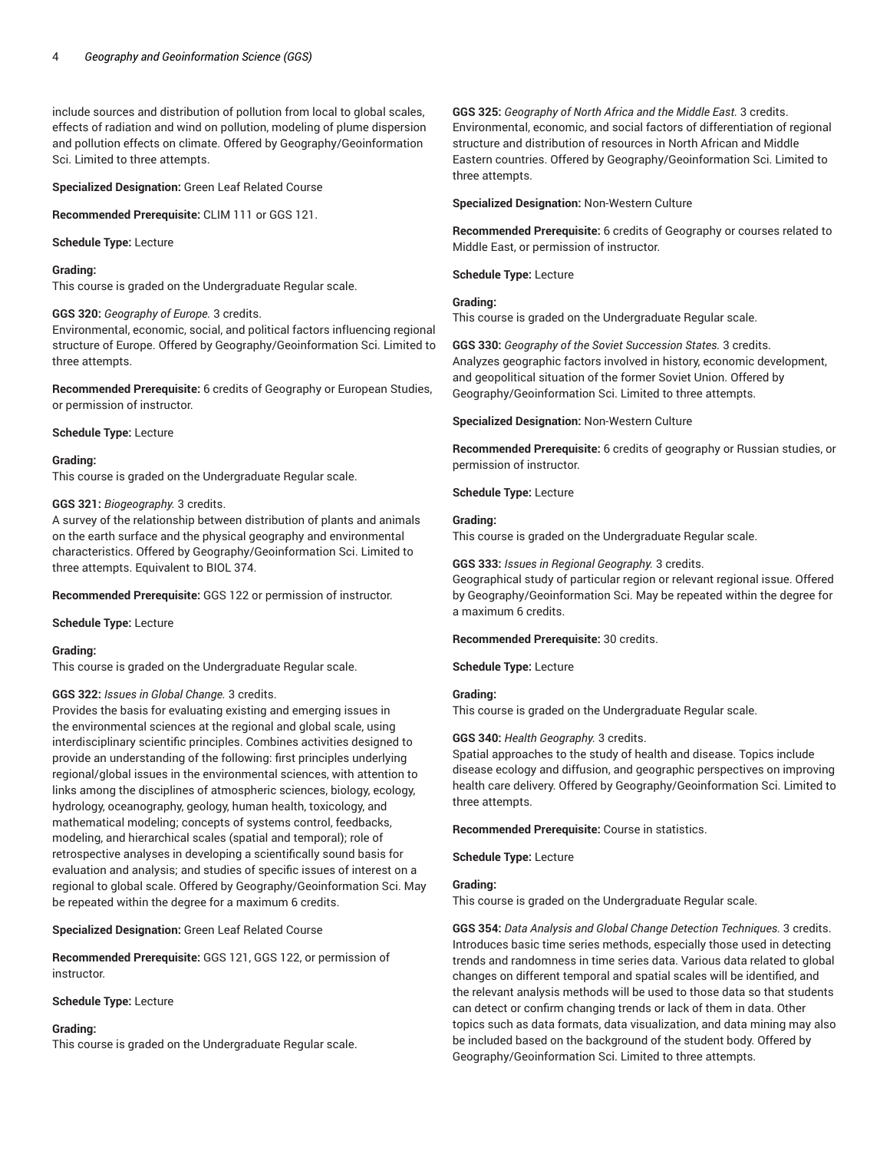include sources and distribution of pollution from local to global scales, effects of radiation and wind on pollution, modeling of plume dispersion and pollution effects on climate. Offered by Geography/Geoinformation Sci. Limited to three attempts.

**Specialized Designation:** Green Leaf Related Course

**Recommended Prerequisite:** CLIM 111 or GGS 121.

**Schedule Type:** Lecture

#### **Grading:**

This course is graded on the Undergraduate Regular scale.

# **GGS 320:** *Geography of Europe.* 3 credits.

Environmental, economic, social, and political factors influencing regional structure of Europe. Offered by Geography/Geoinformation Sci. Limited to three attempts.

**Recommended Prerequisite:** 6 credits of Geography or European Studies, or permission of instructor.

#### **Schedule Type:** Lecture

#### **Grading:**

This course is graded on the Undergraduate Regular scale.

#### **GGS 321:** *Biogeography.* 3 credits.

A survey of the relationship between distribution of plants and animals on the earth surface and the physical geography and environmental characteristics. Offered by Geography/Geoinformation Sci. Limited to three attempts. Equivalent to BIOL 374.

**Recommended Prerequisite:** GGS 122 or permission of instructor.

#### **Schedule Type:** Lecture

#### **Grading:**

This course is graded on the Undergraduate Regular scale.

# **GGS 322:** *Issues in Global Change.* 3 credits.

Provides the basis for evaluating existing and emerging issues in the environmental sciences at the regional and global scale, using interdisciplinary scientific principles. Combines activities designed to provide an understanding of the following: first principles underlying regional/global issues in the environmental sciences, with attention to links among the disciplines of atmospheric sciences, biology, ecology, hydrology, oceanography, geology, human health, toxicology, and mathematical modeling; concepts of systems control, feedbacks, modeling, and hierarchical scales (spatial and temporal); role of retrospective analyses in developing a scientifically sound basis for evaluation and analysis; and studies of specific issues of interest on a regional to global scale. Offered by Geography/Geoinformation Sci. May be repeated within the degree for a maximum 6 credits.

**Specialized Designation:** Green Leaf Related Course

**Recommended Prerequisite:** GGS 121, GGS 122, or permission of instructor.

#### **Schedule Type:** Lecture

# **Grading:**

This course is graded on the Undergraduate Regular scale.

**GGS 325:** *Geography of North Africa and the Middle East.* 3 credits. Environmental, economic, and social factors of differentiation of regional structure and distribution of resources in North African and Middle Eastern countries. Offered by Geography/Geoinformation Sci. Limited to three attempts.

**Specialized Designation:** Non-Western Culture

**Recommended Prerequisite:** 6 credits of Geography or courses related to Middle East, or permission of instructor.

**Schedule Type:** Lecture

# **Grading:**

This course is graded on the Undergraduate Regular scale.

**GGS 330:** *Geography of the Soviet Succession States.* 3 credits. Analyzes geographic factors involved in history, economic development, and geopolitical situation of the former Soviet Union. Offered by Geography/Geoinformation Sci. Limited to three attempts.

**Specialized Designation:** Non-Western Culture

**Recommended Prerequisite:** 6 credits of geography or Russian studies, or permission of instructor.

**Schedule Type:** Lecture

#### **Grading:**

This course is graded on the Undergraduate Regular scale.

#### **GGS 333:** *Issues in Regional Geography.* 3 credits.

Geographical study of particular region or relevant regional issue. Offered by Geography/Geoinformation Sci. May be repeated within the degree for a maximum 6 credits.

#### **Recommended Prerequisite:** 30 credits.

**Schedule Type:** Lecture

# **Grading:**

This course is graded on the Undergraduate Regular scale.

#### **GGS 340:** *Health Geography.* 3 credits.

Spatial approaches to the study of health and disease. Topics include disease ecology and diffusion, and geographic perspectives on improving health care delivery. Offered by Geography/Geoinformation Sci. Limited to three attempts.

**Recommended Prerequisite:** Course in statistics.

**Schedule Type:** Lecture

#### **Grading:**

This course is graded on the Undergraduate Regular scale.

**GGS 354:** *Data Analysis and Global Change Detection Techniques.* 3 credits. Introduces basic time series methods, especially those used in detecting trends and randomness in time series data. Various data related to global changes on different temporal and spatial scales will be identified, and the relevant analysis methods will be used to those data so that students can detect or confirm changing trends or lack of them in data. Other topics such as data formats, data visualization, and data mining may also be included based on the background of the student body. Offered by Geography/Geoinformation Sci. Limited to three attempts.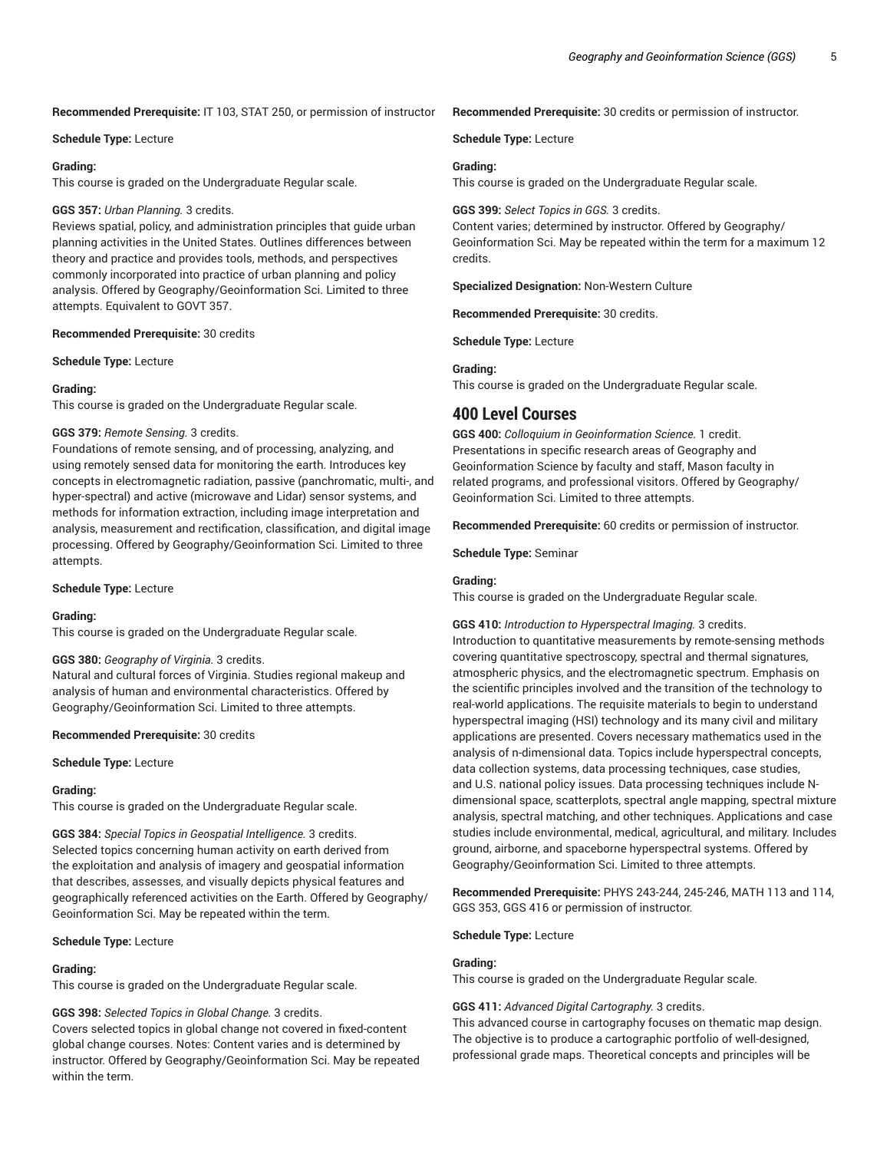#### **Recommended Prerequisite:** IT 103, STAT 250, or permission of instructor

#### **Schedule Type:** Lecture

#### **Grading:**

This course is graded on the Undergraduate Regular scale.

#### **GGS 357:** *Urban Planning.* 3 credits.

Reviews spatial, policy, and administration principles that guide urban planning activities in the United States. Outlines differences between theory and practice and provides tools, methods, and perspectives commonly incorporated into practice of urban planning and policy analysis. Offered by Geography/Geoinformation Sci. Limited to three attempts. Equivalent to GOVT 357.

# **Recommended Prerequisite:** 30 credits

**Schedule Type:** Lecture

#### **Grading:**

This course is graded on the Undergraduate Regular scale.

#### **GGS 379:** *Remote Sensing.* 3 credits.

Foundations of remote sensing, and of processing, analyzing, and using remotely sensed data for monitoring the earth. Introduces key concepts in electromagnetic radiation, passive (panchromatic, multi-, and hyper-spectral) and active (microwave and Lidar) sensor systems, and methods for information extraction, including image interpretation and analysis, measurement and rectification, classification, and digital image processing. Offered by Geography/Geoinformation Sci. Limited to three attempts.

**Schedule Type:** Lecture

#### **Grading:**

This course is graded on the Undergraduate Regular scale.

#### **GGS 380:** *Geography of Virginia.* 3 credits.

Natural and cultural forces of Virginia. Studies regional makeup and analysis of human and environmental characteristics. Offered by Geography/Geoinformation Sci. Limited to three attempts.

#### **Recommended Prerequisite:** 30 credits

**Schedule Type:** Lecture

#### **Grading:**

This course is graded on the Undergraduate Regular scale.

**GGS 384:** *Special Topics in Geospatial Intelligence.* 3 credits. Selected topics concerning human activity on earth derived from the exploitation and analysis of imagery and geospatial information that describes, assesses, and visually depicts physical features and geographically referenced activities on the Earth. Offered by Geography/ Geoinformation Sci. May be repeated within the term.

#### **Schedule Type:** Lecture

#### **Grading:**

This course is graded on the Undergraduate Regular scale.

#### **GGS 398:** *Selected Topics in Global Change.* 3 credits.

Covers selected topics in global change not covered in fixed-content global change courses. Notes: Content varies and is determined by instructor. Offered by Geography/Geoinformation Sci. May be repeated within the term.

# **Recommended Prerequisite:** 30 credits or permission of instructor.

**Schedule Type:** Lecture

# **Grading:**

This course is graded on the Undergraduate Regular scale.

# **GGS 399:** *Select Topics in GGS.* 3 credits. Content varies; determined by instructor. Offered by Geography/ Geoinformation Sci. May be repeated within the term for a maximum 12 credits.

**Specialized Designation:** Non-Western Culture

**Recommended Prerequisite:** 30 credits.

**Schedule Type:** Lecture

# **Grading:**

This course is graded on the Undergraduate Regular scale.

# **400 Level Courses**

**GGS 400:** *Colloquium in Geoinformation Science.* 1 credit. Presentations in specific research areas of Geography and Geoinformation Science by faculty and staff, Mason faculty in related programs, and professional visitors. Offered by Geography/ Geoinformation Sci. Limited to three attempts.

**Recommended Prerequisite:** 60 credits or permission of instructor.

**Schedule Type:** Seminar

#### **Grading:**

This course is graded on the Undergraduate Regular scale.

**GGS 410:** *Introduction to Hyperspectral Imaging.* 3 credits. Introduction to quantitative measurements by remote-sensing methods covering quantitative spectroscopy, spectral and thermal signatures, atmospheric physics, and the electromagnetic spectrum. Emphasis on the scientific principles involved and the transition of the technology to real-world applications. The requisite materials to begin to understand hyperspectral imaging (HSI) technology and its many civil and military applications are presented. Covers necessary mathematics used in the analysis of n-dimensional data. Topics include hyperspectral concepts, data collection systems, data processing techniques, case studies, and U.S. national policy issues. Data processing techniques include Ndimensional space, scatterplots, spectral angle mapping, spectral mixture analysis, spectral matching, and other techniques. Applications and case studies include environmental, medical, agricultural, and military. Includes ground, airborne, and spaceborne hyperspectral systems. Offered by Geography/Geoinformation Sci. Limited to three attempts.

**Recommended Prerequisite:** PHYS 243-244, 245-246, MATH 113 and 114, GGS 353, GGS 416 or permission of instructor.

#### **Schedule Type:** Lecture

#### **Grading:**

This course is graded on the Undergraduate Regular scale.

#### **GGS 411:** *Advanced Digital Cartography.* 3 credits.

This advanced course in cartography focuses on thematic map design. The objective is to produce a cartographic portfolio of well-designed, professional grade maps. Theoretical concepts and principles will be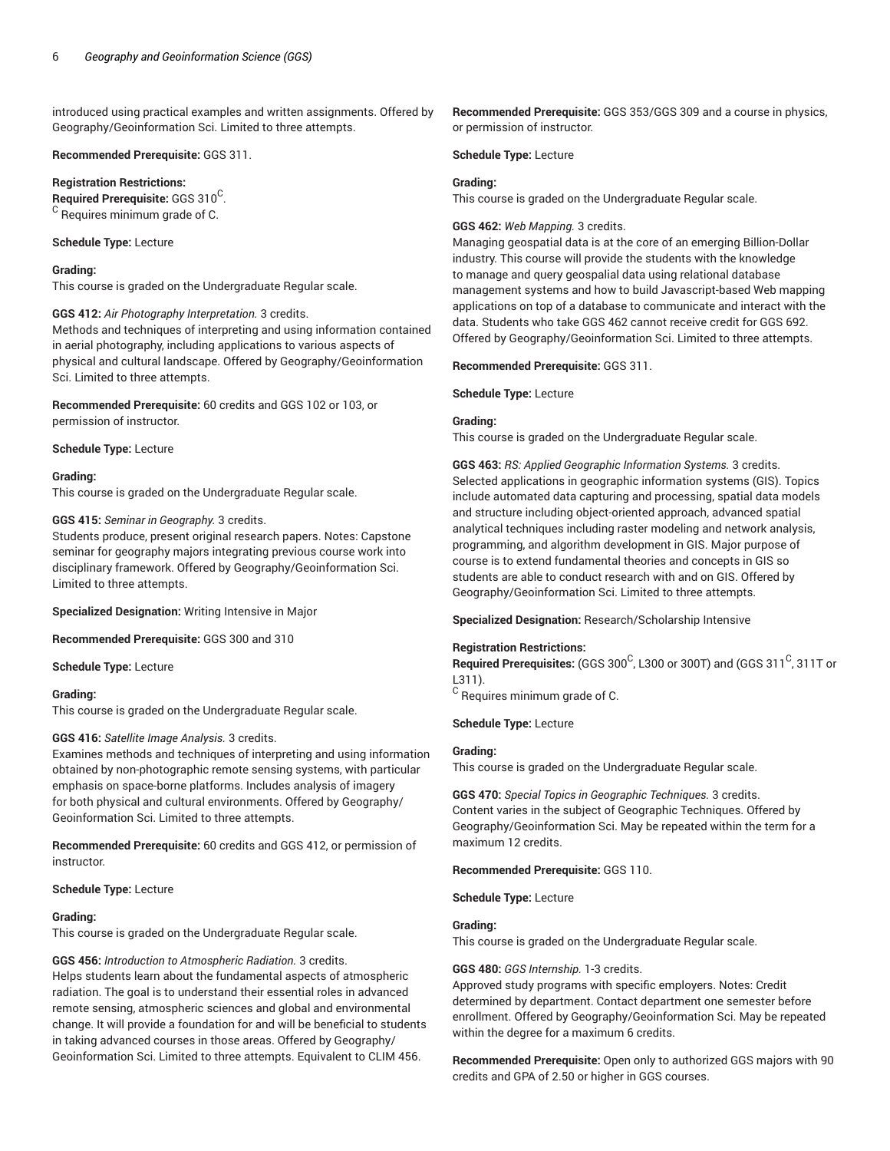introduced using practical examples and written assignments. Offered by Geography/Geoinformation Sci. Limited to three attempts.

#### **Recommended Prerequisite:** GGS 311.

**Registration Restrictions:**

 $\mathsf{\mathsf{Required} }$  Prerequisite: <code>GGS</code> 310 $^{\mathsf{C}}$ . <sup>C</sup> Requires minimum grade of C.

#### **Schedule Type:** Lecture

#### **Grading:**

This course is graded on the Undergraduate Regular scale.

#### **GGS 412:** *Air Photography Interpretation.* 3 credits.

Methods and techniques of interpreting and using information contained in aerial photography, including applications to various aspects of physical and cultural landscape. Offered by Geography/Geoinformation Sci. Limited to three attempts.

**Recommended Prerequisite:** 60 credits and GGS 102 or 103, or permission of instructor.

#### **Schedule Type:** Lecture

#### **Grading:**

This course is graded on the Undergraduate Regular scale.

#### **GGS 415:** *Seminar in Geography.* 3 credits.

Students produce, present original research papers. Notes: Capstone seminar for geography majors integrating previous course work into disciplinary framework. Offered by Geography/Geoinformation Sci. Limited to three attempts.

**Specialized Designation:** Writing Intensive in Major

**Recommended Prerequisite:** GGS 300 and 310

**Schedule Type:** Lecture

# **Grading:**

This course is graded on the Undergraduate Regular scale.

# **GGS 416:** *Satellite Image Analysis.* 3 credits.

Examines methods and techniques of interpreting and using information obtained by non-photographic remote sensing systems, with particular emphasis on space-borne platforms. Includes analysis of imagery for both physical and cultural environments. Offered by Geography/ Geoinformation Sci. Limited to three attempts.

**Recommended Prerequisite:** 60 credits and GGS 412, or permission of instructor.

#### **Schedule Type:** Lecture

# **Grading:**

This course is graded on the Undergraduate Regular scale.

# **GGS 456:** *Introduction to Atmospheric Radiation.* 3 credits.

Helps students learn about the fundamental aspects of atmospheric radiation. The goal is to understand their essential roles in advanced remote sensing, atmospheric sciences and global and environmental change. It will provide a foundation for and will be beneficial to students in taking advanced courses in those areas. Offered by Geography/ Geoinformation Sci. Limited to three attempts. Equivalent to CLIM 456.

**Recommended Prerequisite:** GGS 353/GGS 309 and a course in physics, or permission of instructor.

**Schedule Type:** Lecture

#### **Grading:**

This course is graded on the Undergraduate Regular scale.

# **GGS 462:** *Web Mapping.* 3 credits.

Managing geospatial data is at the core of an emerging Billion-Dollar industry. This course will provide the students with the knowledge to manage and query geospalial data using relational database management systems and how to build Javascript-based Web mapping applications on top of a database to communicate and interact with the data. Students who take GGS 462 cannot receive credit for GGS 692. Offered by Geography/Geoinformation Sci. Limited to three attempts.

**Recommended Prerequisite:** GGS 311.

#### **Schedule Type:** Lecture

#### **Grading:**

This course is graded on the Undergraduate Regular scale.

**GGS 463:** *RS: Applied Geographic Information Systems.* 3 credits. Selected applications in geographic information systems (GIS). Topics include automated data capturing and processing, spatial data models and structure including object-oriented approach, advanced spatial analytical techniques including raster modeling and network analysis, programming, and algorithm development in GIS. Major purpose of course is to extend fundamental theories and concepts in GIS so students are able to conduct research with and on GIS. Offered by Geography/Geoinformation Sci. Limited to three attempts.

# **Specialized Designation:** Research/Scholarship Intensive

# **Registration Restrictions:**

 $\mathsf{\mathsf{Required\ Pre}}$  rerequisites: (GGS 300 $^\mathsf{C}$ , L300 or 300T) and (GGS 311 $^\mathsf{C}$ , 311T or L311).

 $^{\rm C}$  Requires minimum grade of C.

#### **Schedule Type:** Lecture

# **Grading:**

This course is graded on the Undergraduate Regular scale.

**GGS 470:** *Special Topics in Geographic Techniques.* 3 credits. Content varies in the subject of Geographic Techniques. Offered by Geography/Geoinformation Sci. May be repeated within the term for a maximum 12 credits.

#### **Recommended Prerequisite:** GGS 110.

**Schedule Type:** Lecture

# **Grading:**

This course is graded on the Undergraduate Regular scale.

# **GGS 480:** *GGS Internship.* 1-3 credits.

Approved study programs with specific employers. Notes: Credit determined by department. Contact department one semester before enrollment. Offered by Geography/Geoinformation Sci. May be repeated within the degree for a maximum 6 credits.

**Recommended Prerequisite:** Open only to authorized GGS majors with 90 credits and GPA of 2.50 or higher in GGS courses.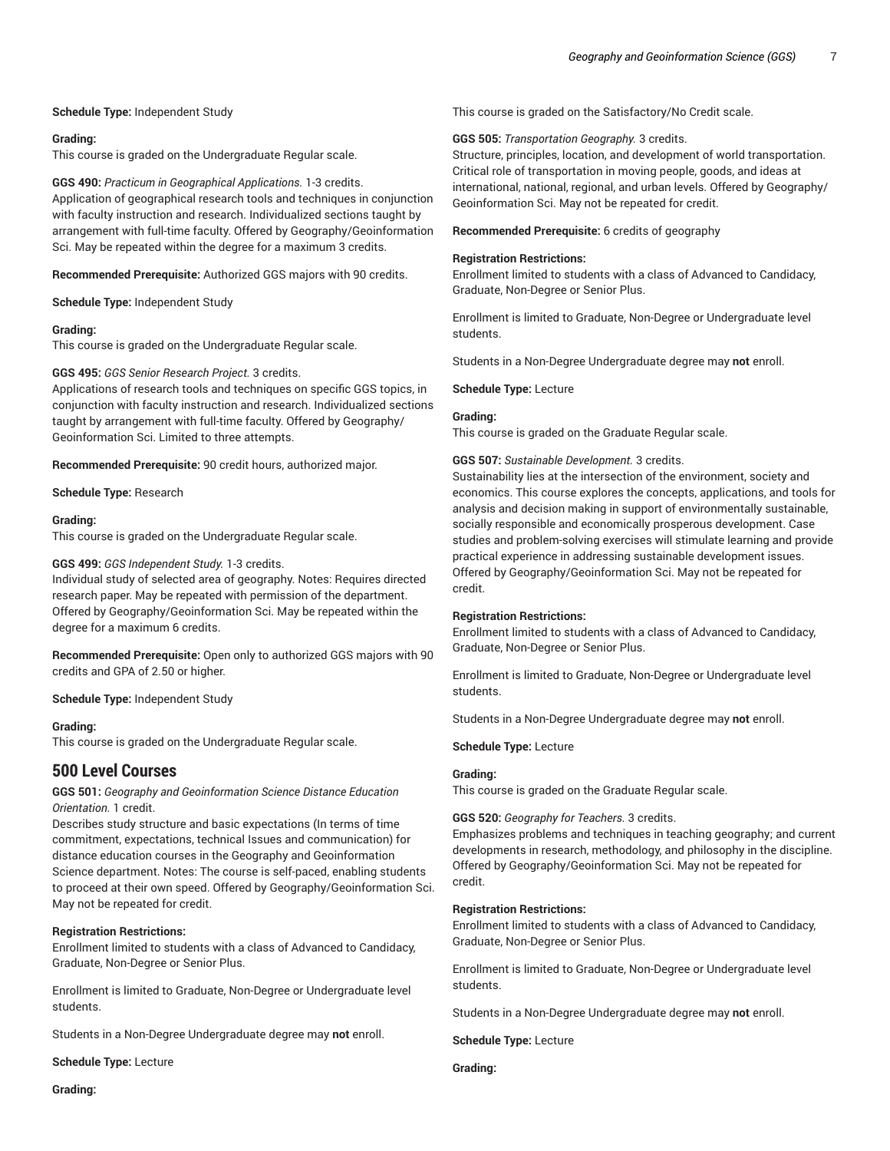**Schedule Type:** Independent Study

# **Grading:**

This course is graded on the Undergraduate Regular scale.

**GGS 490:** *Practicum in Geographical Applications.* 1-3 credits. Application of geographical research tools and techniques in conjunction with faculty instruction and research. Individualized sections taught by arrangement with full-time faculty. Offered by Geography/Geoinformation Sci. May be repeated within the degree for a maximum 3 credits.

**Recommended Prerequisite:** Authorized GGS majors with 90 credits.

**Schedule Type:** Independent Study

# **Grading:**

This course is graded on the Undergraduate Regular scale.

#### **GGS 495:** *GGS Senior Research Project.* 3 credits.

Applications of research tools and techniques on specific GGS topics, in conjunction with faculty instruction and research. Individualized sections taught by arrangement with full-time faculty. Offered by Geography/ Geoinformation Sci. Limited to three attempts.

**Recommended Prerequisite:** 90 credit hours, authorized major.

**Schedule Type:** Research

#### **Grading:**

This course is graded on the Undergraduate Regular scale.

# **GGS 499:** *GGS Independent Study.* 1-3 credits.

Individual study of selected area of geography. Notes: Requires directed research paper. May be repeated with permission of the department. Offered by Geography/Geoinformation Sci. May be repeated within the degree for a maximum 6 credits.

**Recommended Prerequisite:** Open only to authorized GGS majors with 90 credits and GPA of 2.50 or higher.

**Schedule Type:** Independent Study

# **Grading:**

This course is graded on the Undergraduate Regular scale.

# **500 Level Courses**

# **GGS 501:** *Geography and Geoinformation Science Distance Education Orientation.* 1 credit.

Describes study structure and basic expectations (In terms of time commitment, expectations, technical Issues and communication) for distance education courses in the Geography and Geoinformation Science department. Notes: The course is self-paced, enabling students to proceed at their own speed. Offered by Geography/Geoinformation Sci. May not be repeated for credit.

# **Registration Restrictions:**

Enrollment limited to students with a class of Advanced to Candidacy, Graduate, Non-Degree or Senior Plus.

Enrollment is limited to Graduate, Non-Degree or Undergraduate level students.

Students in a Non-Degree Undergraduate degree may **not** enroll.

**Schedule Type:** Lecture

This course is graded on the Satisfactory/No Credit scale.

#### **GGS 505:** *Transportation Geography.* 3 credits.

Structure, principles, location, and development of world transportation. Critical role of transportation in moving people, goods, and ideas at international, national, regional, and urban levels. Offered by Geography/ Geoinformation Sci. May not be repeated for credit.

#### **Recommended Prerequisite:** 6 credits of geography

#### **Registration Restrictions:**

Enrollment limited to students with a class of Advanced to Candidacy, Graduate, Non-Degree or Senior Plus.

Enrollment is limited to Graduate, Non-Degree or Undergraduate level students.

Students in a Non-Degree Undergraduate degree may **not** enroll.

#### **Schedule Type:** Lecture

#### **Grading:**

This course is graded on the Graduate Regular scale.

#### **GGS 507:** *Sustainable Development.* 3 credits.

Sustainability lies at the intersection of the environment, society and economics. This course explores the concepts, applications, and tools for analysis and decision making in support of environmentally sustainable, socially responsible and economically prosperous development. Case studies and problem-solving exercises will stimulate learning and provide practical experience in addressing sustainable development issues. Offered by Geography/Geoinformation Sci. May not be repeated for credit.

#### **Registration Restrictions:**

Enrollment limited to students with a class of Advanced to Candidacy, Graduate, Non-Degree or Senior Plus.

Enrollment is limited to Graduate, Non-Degree or Undergraduate level students.

Students in a Non-Degree Undergraduate degree may **not** enroll.

**Schedule Type:** Lecture

# **Grading:**

This course is graded on the Graduate Regular scale.

# **GGS 520:** *Geography for Teachers.* 3 credits.

Emphasizes problems and techniques in teaching geography; and current developments in research, methodology, and philosophy in the discipline. Offered by Geography/Geoinformation Sci. May not be repeated for credit.

# **Registration Restrictions:**

Enrollment limited to students with a class of Advanced to Candidacy, Graduate, Non-Degree or Senior Plus.

Enrollment is limited to Graduate, Non-Degree or Undergraduate level students.

Students in a Non-Degree Undergraduate degree may **not** enroll.

**Schedule Type:** Lecture

**Grading:**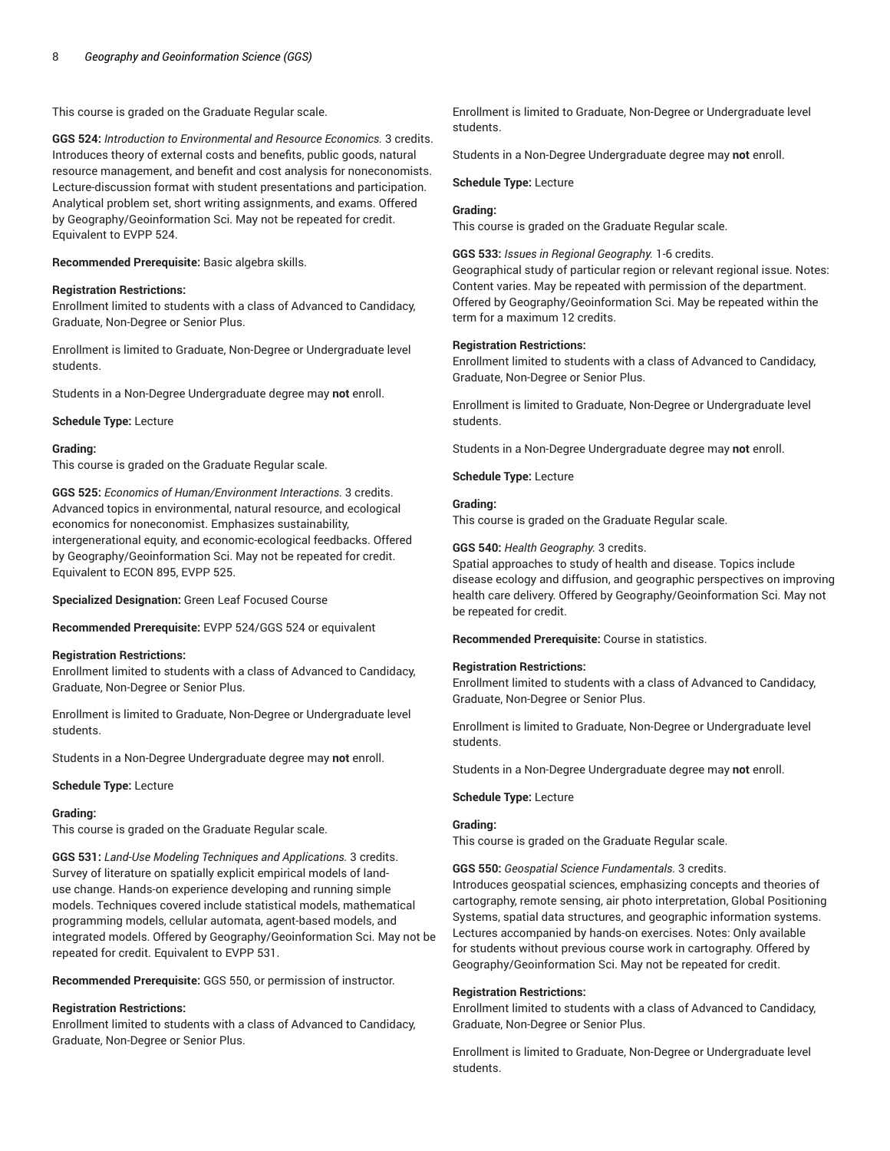This course is graded on the Graduate Regular scale.

**GGS 524:** *Introduction to Environmental and Resource Economics.* 3 credits. Introduces theory of external costs and benefits, public goods, natural resource management, and benefit and cost analysis for noneconomists. Lecture-discussion format with student presentations and participation. Analytical problem set, short writing assignments, and exams. Offered by Geography/Geoinformation Sci. May not be repeated for credit. Equivalent to EVPP 524.

**Recommended Prerequisite:** Basic algebra skills.

# **Registration Restrictions:**

Enrollment limited to students with a class of Advanced to Candidacy, Graduate, Non-Degree or Senior Plus.

Enrollment is limited to Graduate, Non-Degree or Undergraduate level students.

Students in a Non-Degree Undergraduate degree may **not** enroll.

**Schedule Type:** Lecture

#### **Grading:**

This course is graded on the Graduate Regular scale.

**GGS 525:** *Economics of Human/Environment Interactions.* 3 credits. Advanced topics in environmental, natural resource, and ecological economics for noneconomist. Emphasizes sustainability, intergenerational equity, and economic-ecological feedbacks. Offered by Geography/Geoinformation Sci. May not be repeated for credit. Equivalent to ECON 895, EVPP 525.

**Specialized Designation:** Green Leaf Focused Course

**Recommended Prerequisite:** EVPP 524/GGS 524 or equivalent

#### **Registration Restrictions:**

Enrollment limited to students with a class of Advanced to Candidacy, Graduate, Non-Degree or Senior Plus.

Enrollment is limited to Graduate, Non-Degree or Undergraduate level students.

Students in a Non-Degree Undergraduate degree may **not** enroll.

**Schedule Type:** Lecture

# **Grading:**

This course is graded on the Graduate Regular scale.

**GGS 531:** *Land-Use Modeling Techniques and Applications.* 3 credits. Survey of literature on spatially explicit empirical models of landuse change. Hands-on experience developing and running simple models. Techniques covered include statistical models, mathematical programming models, cellular automata, agent-based models, and integrated models. Offered by Geography/Geoinformation Sci. May not be repeated for credit. Equivalent to EVPP 531.

**Recommended Prerequisite:** GGS 550, or permission of instructor.

# **Registration Restrictions:**

Enrollment limited to students with a class of Advanced to Candidacy, Graduate, Non-Degree or Senior Plus.

Enrollment is limited to Graduate, Non-Degree or Undergraduate level students.

Students in a Non-Degree Undergraduate degree may **not** enroll.

**Schedule Type:** Lecture

# **Grading:**

This course is graded on the Graduate Regular scale.

**GGS 533:** *Issues in Regional Geography.* 1-6 credits.

Geographical study of particular region or relevant regional issue. Notes: Content varies. May be repeated with permission of the department. Offered by Geography/Geoinformation Sci. May be repeated within the term for a maximum 12 credits.

# **Registration Restrictions:**

Enrollment limited to students with a class of Advanced to Candidacy, Graduate, Non-Degree or Senior Plus.

Enrollment is limited to Graduate, Non-Degree or Undergraduate level students.

Students in a Non-Degree Undergraduate degree may **not** enroll.

**Schedule Type:** Lecture

# **Grading:**

This course is graded on the Graduate Regular scale.

#### **GGS 540:** *Health Geography.* 3 credits.

Spatial approaches to study of health and disease. Topics include disease ecology and diffusion, and geographic perspectives on improving health care delivery. Offered by Geography/Geoinformation Sci. May not be repeated for credit.

**Recommended Prerequisite:** Course in statistics.

# **Registration Restrictions:**

Enrollment limited to students with a class of Advanced to Candidacy, Graduate, Non-Degree or Senior Plus.

Enrollment is limited to Graduate, Non-Degree or Undergraduate level students.

Students in a Non-Degree Undergraduate degree may **not** enroll.

#### **Schedule Type:** Lecture

# **Grading:**

This course is graded on the Graduate Regular scale.

**GGS 550:** *Geospatial Science Fundamentals.* 3 credits.

Introduces geospatial sciences, emphasizing concepts and theories of cartography, remote sensing, air photo interpretation, Global Positioning Systems, spatial data structures, and geographic information systems. Lectures accompanied by hands-on exercises. Notes: Only available for students without previous course work in cartography. Offered by Geography/Geoinformation Sci. May not be repeated for credit.

# **Registration Restrictions:**

Enrollment limited to students with a class of Advanced to Candidacy, Graduate, Non-Degree or Senior Plus.

Enrollment is limited to Graduate, Non-Degree or Undergraduate level students.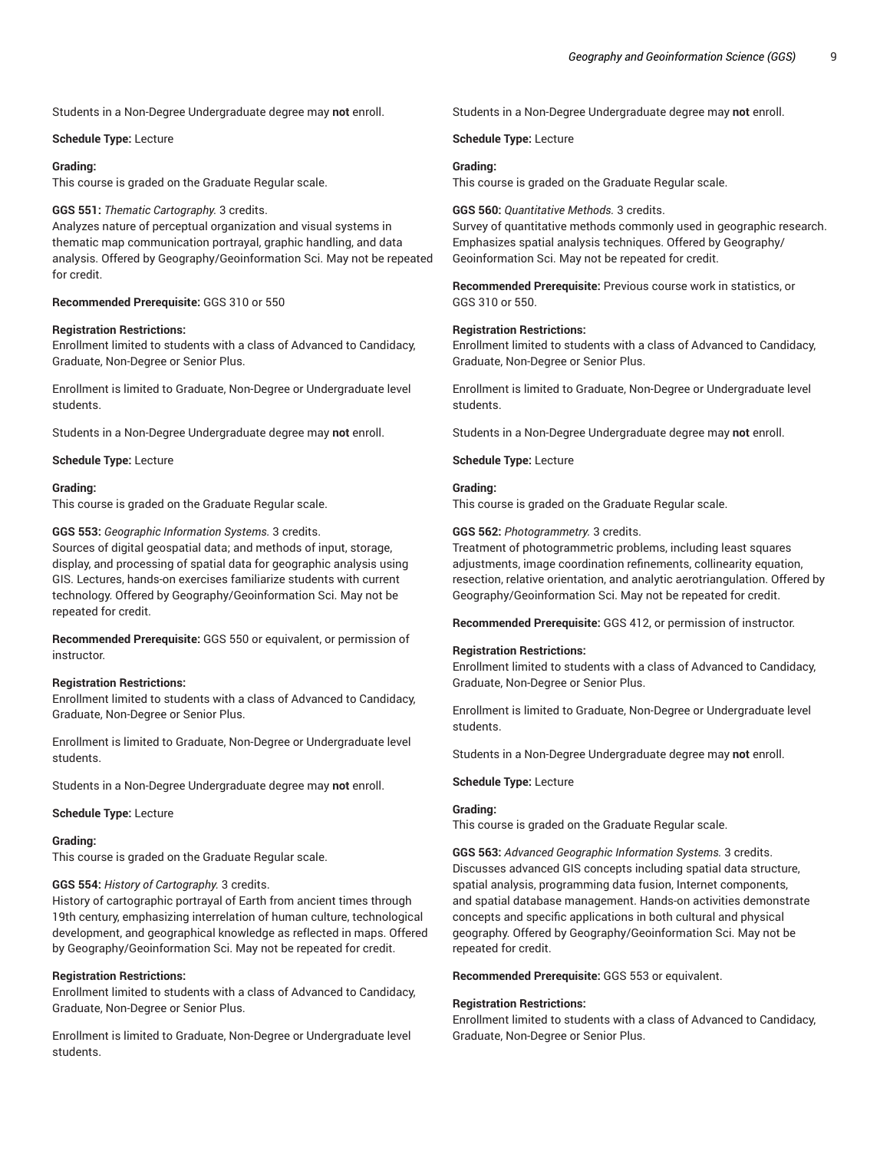Students in a Non-Degree Undergraduate degree may **not** enroll.

**Schedule Type:** Lecture

# **Grading:**

This course is graded on the Graduate Regular scale.

**GGS 551:** *Thematic Cartography.* 3 credits. Analyzes nature of perceptual organization and visual systems in thematic map communication portrayal, graphic handling, and data analysis. Offered by Geography/Geoinformation Sci. May not be repeated for credit.

**Recommended Prerequisite:** GGS 310 or 550

# **Registration Restrictions:**

Enrollment limited to students with a class of Advanced to Candidacy, Graduate, Non-Degree or Senior Plus.

Enrollment is limited to Graduate, Non-Degree or Undergraduate level students.

Students in a Non-Degree Undergraduate degree may **not** enroll.

**Schedule Type:** Lecture

# **Grading:**

This course is graded on the Graduate Regular scale.

**GGS 553:** *Geographic Information Systems.* 3 credits.

Sources of digital geospatial data; and methods of input, storage, display, and processing of spatial data for geographic analysis using GIS. Lectures, hands-on exercises familiarize students with current technology. Offered by Geography/Geoinformation Sci. May not be repeated for credit.

**Recommended Prerequisite:** GGS 550 or equivalent, or permission of instructor.

# **Registration Restrictions:**

Enrollment limited to students with a class of Advanced to Candidacy, Graduate, Non-Degree or Senior Plus.

Enrollment is limited to Graduate, Non-Degree or Undergraduate level students.

Students in a Non-Degree Undergraduate degree may **not** enroll.

#### **Schedule Type:** Lecture

# **Grading:**

This course is graded on the Graduate Regular scale.

# **GGS 554:** *History of Cartography.* 3 credits.

History of cartographic portrayal of Earth from ancient times through 19th century, emphasizing interrelation of human culture, technological development, and geographical knowledge as reflected in maps. Offered by Geography/Geoinformation Sci. May not be repeated for credit.

# **Registration Restrictions:**

Enrollment limited to students with a class of Advanced to Candidacy, Graduate, Non-Degree or Senior Plus.

Enrollment is limited to Graduate, Non-Degree or Undergraduate level students.

Students in a Non-Degree Undergraduate degree may **not** enroll.

**Schedule Type:** Lecture

# **Grading:**

This course is graded on the Graduate Regular scale.

# **GGS 560:** *Quantitative Methods.* 3 credits.

Survey of quantitative methods commonly used in geographic research. Emphasizes spatial analysis techniques. Offered by Geography/ Geoinformation Sci. May not be repeated for credit.

**Recommended Prerequisite:** Previous course work in statistics, or GGS 310 or 550.

#### **Registration Restrictions:**

Enrollment limited to students with a class of Advanced to Candidacy, Graduate, Non-Degree or Senior Plus.

Enrollment is limited to Graduate, Non-Degree or Undergraduate level students.

Students in a Non-Degree Undergraduate degree may **not** enroll.

**Schedule Type:** Lecture

# **Grading:**

This course is graded on the Graduate Regular scale.

**GGS 562:** *Photogrammetry.* 3 credits.

Treatment of photogrammetric problems, including least squares adjustments, image coordination refinements, collinearity equation, resection, relative orientation, and analytic aerotriangulation. Offered by Geography/Geoinformation Sci. May not be repeated for credit.

**Recommended Prerequisite:** GGS 412, or permission of instructor.

# **Registration Restrictions:**

Enrollment limited to students with a class of Advanced to Candidacy, Graduate, Non-Degree or Senior Plus.

Enrollment is limited to Graduate, Non-Degree or Undergraduate level students.

Students in a Non-Degree Undergraduate degree may **not** enroll.

#### **Schedule Type:** Lecture

#### **Grading:**

This course is graded on the Graduate Regular scale.

**GGS 563:** *Advanced Geographic Information Systems.* 3 credits. Discusses advanced GIS concepts including spatial data structure, spatial analysis, programming data fusion, Internet components, and spatial database management. Hands-on activities demonstrate concepts and specific applications in both cultural and physical geography. Offered by Geography/Geoinformation Sci. May not be repeated for credit.

**Recommended Prerequisite:** GGS 553 or equivalent.

#### **Registration Restrictions:**

Enrollment limited to students with a class of Advanced to Candidacy, Graduate, Non-Degree or Senior Plus.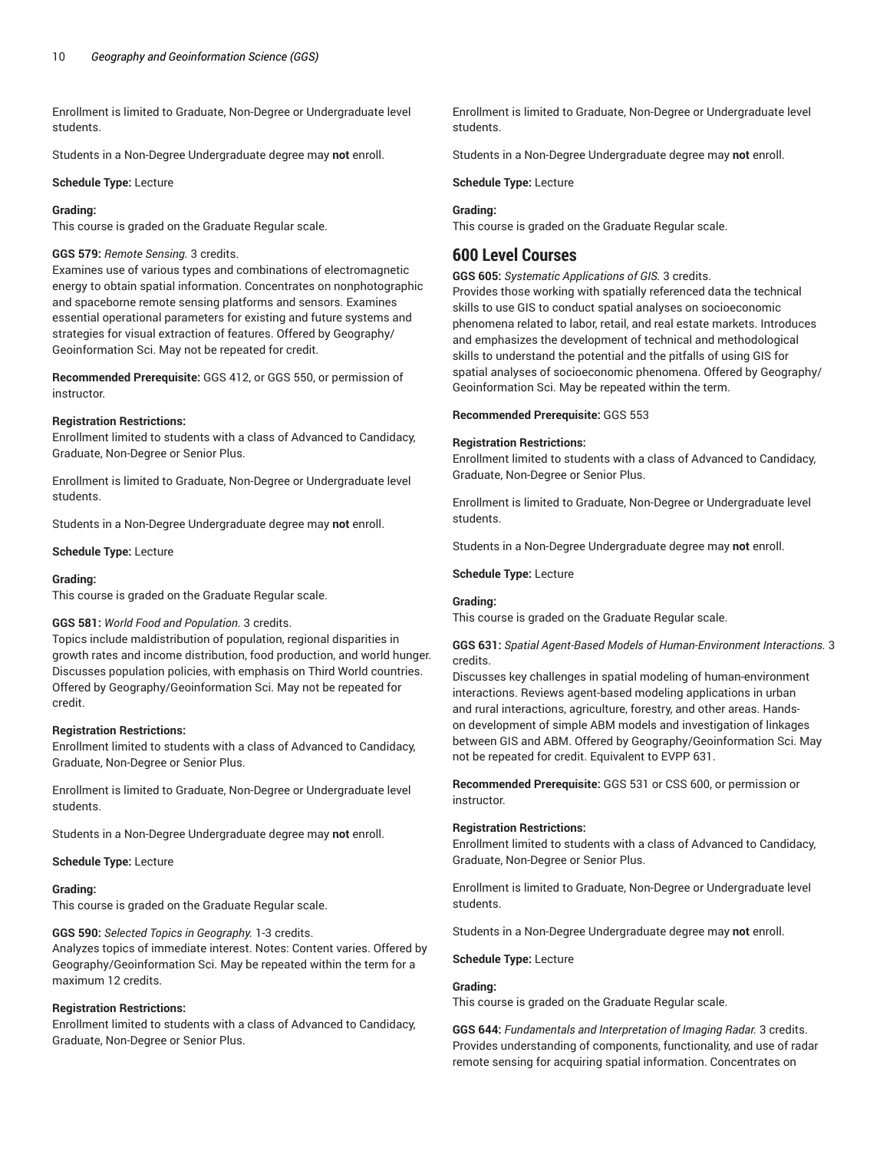Enrollment is limited to Graduate, Non-Degree or Undergraduate level students.

Students in a Non-Degree Undergraduate degree may **not** enroll.

**Schedule Type:** Lecture

# **Grading:**

This course is graded on the Graduate Regular scale.

# **GGS 579:** *Remote Sensing.* 3 credits.

Examines use of various types and combinations of electromagnetic energy to obtain spatial information. Concentrates on nonphotographic and spaceborne remote sensing platforms and sensors. Examines essential operational parameters for existing and future systems and strategies for visual extraction of features. Offered by Geography/ Geoinformation Sci. May not be repeated for credit.

**Recommended Prerequisite:** GGS 412, or GGS 550, or permission of instructor.

#### **Registration Restrictions:**

Enrollment limited to students with a class of Advanced to Candidacy, Graduate, Non-Degree or Senior Plus.

Enrollment is limited to Graduate, Non-Degree or Undergraduate level students.

Students in a Non-Degree Undergraduate degree may **not** enroll.

**Schedule Type:** Lecture

#### **Grading:**

This course is graded on the Graduate Regular scale.

# **GGS 581:** *World Food and Population.* 3 credits.

Topics include maldistribution of population, regional disparities in growth rates and income distribution, food production, and world hunger. Discusses population policies, with emphasis on Third World countries. Offered by Geography/Geoinformation Sci. May not be repeated for credit.

# **Registration Restrictions:**

Enrollment limited to students with a class of Advanced to Candidacy, Graduate, Non-Degree or Senior Plus.

Enrollment is limited to Graduate, Non-Degree or Undergraduate level students.

Students in a Non-Degree Undergraduate degree may **not** enroll.

#### **Schedule Type:** Lecture

# **Grading:**

This course is graded on the Graduate Regular scale.

**GGS 590:** *Selected Topics in Geography.* 1-3 credits.

Analyzes topics of immediate interest. Notes: Content varies. Offered by Geography/Geoinformation Sci. May be repeated within the term for a maximum 12 credits.

# **Registration Restrictions:**

Enrollment limited to students with a class of Advanced to Candidacy, Graduate, Non-Degree or Senior Plus.

Enrollment is limited to Graduate, Non-Degree or Undergraduate level students.

Students in a Non-Degree Undergraduate degree may **not** enroll.

**Schedule Type:** Lecture

# **Grading:**

This course is graded on the Graduate Regular scale.

# **600 Level Courses**

**GGS 605:** *Systematic Applications of GIS.* 3 credits.

Provides those working with spatially referenced data the technical skills to use GIS to conduct spatial analyses on socioeconomic phenomena related to labor, retail, and real estate markets. Introduces and emphasizes the development of technical and methodological skills to understand the potential and the pitfalls of using GIS for spatial analyses of socioeconomic phenomena. Offered by Geography/ Geoinformation Sci. May be repeated within the term.

**Recommended Prerequisite:** GGS 553

#### **Registration Restrictions:**

Enrollment limited to students with a class of Advanced to Candidacy, Graduate, Non-Degree or Senior Plus.

Enrollment is limited to Graduate, Non-Degree or Undergraduate level students.

Students in a Non-Degree Undergraduate degree may **not** enroll.

**Schedule Type:** Lecture

# **Grading:**

This course is graded on the Graduate Regular scale.

# **GGS 631:** *Spatial Agent-Based Models of Human-Environment Interactions.* 3 credits.

Discusses key challenges in spatial modeling of human-environment interactions. Reviews agent-based modeling applications in urban and rural interactions, agriculture, forestry, and other areas. Handson development of simple ABM models and investigation of linkages between GIS and ABM. Offered by Geography/Geoinformation Sci. May not be repeated for credit. Equivalent to EVPP 631.

**Recommended Prerequisite:** GGS 531 or CSS 600, or permission or instructor.

# **Registration Restrictions:**

Enrollment limited to students with a class of Advanced to Candidacy, Graduate, Non-Degree or Senior Plus.

Enrollment is limited to Graduate, Non-Degree or Undergraduate level students.

Students in a Non-Degree Undergraduate degree may **not** enroll.

# **Schedule Type:** Lecture

# **Grading:**

This course is graded on the Graduate Regular scale.

**GGS 644:** *Fundamentals and Interpretation of Imaging Radar.* 3 credits. Provides understanding of components, functionality, and use of radar remote sensing for acquiring spatial information. Concentrates on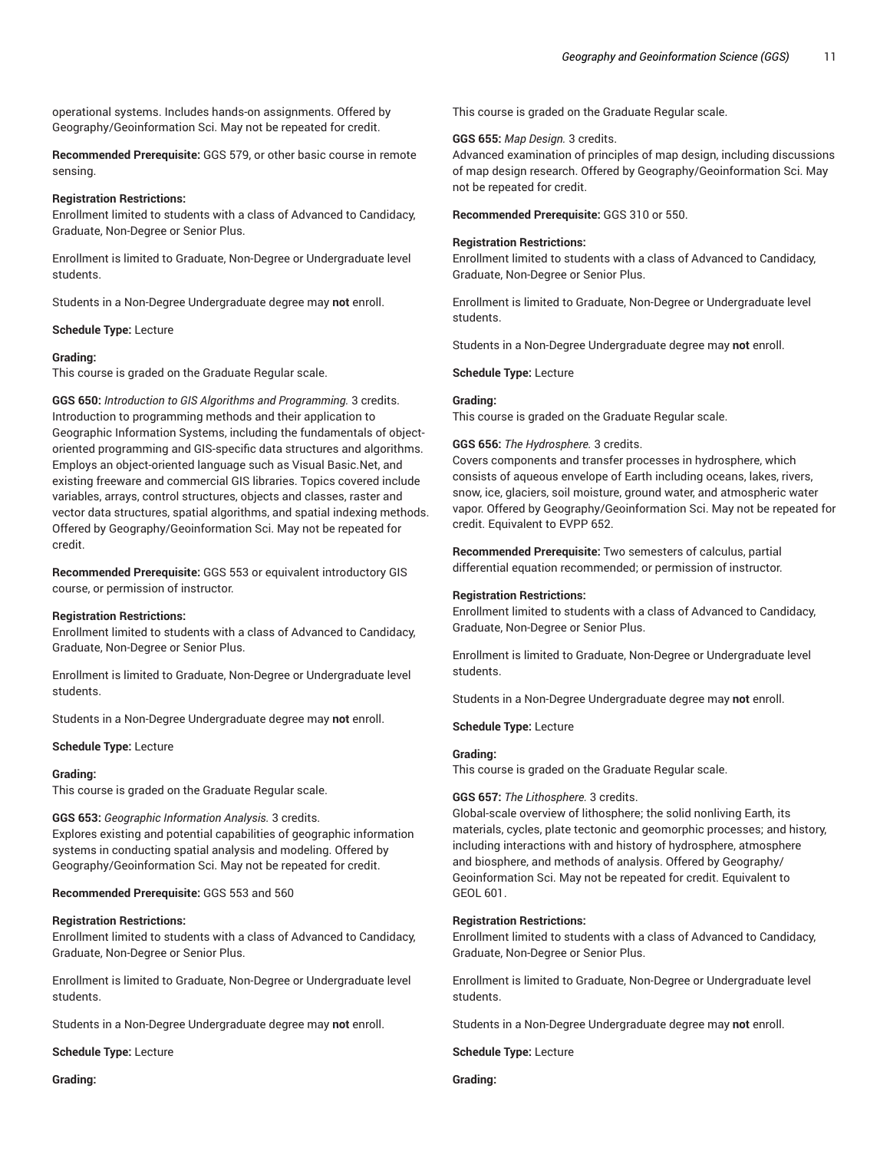operational systems. Includes hands-on assignments. Offered by Geography/Geoinformation Sci. May not be repeated for credit.

**Recommended Prerequisite:** GGS 579, or other basic course in remote sensing.

#### **Registration Restrictions:**

Enrollment limited to students with a class of Advanced to Candidacy, Graduate, Non-Degree or Senior Plus.

Enrollment is limited to Graduate, Non-Degree or Undergraduate level students.

Students in a Non-Degree Undergraduate degree may **not** enroll.

#### **Schedule Type:** Lecture

#### **Grading:**

This course is graded on the Graduate Regular scale.

**GGS 650:** *Introduction to GIS Algorithms and Programming.* 3 credits. Introduction to programming methods and their application to Geographic Information Systems, including the fundamentals of objectoriented programming and GIS-specific data structures and algorithms. Employs an object-oriented language such as Visual Basic.Net, and existing freeware and commercial GIS libraries. Topics covered include variables, arrays, control structures, objects and classes, raster and vector data structures, spatial algorithms, and spatial indexing methods. Offered by Geography/Geoinformation Sci. May not be repeated for credit.

**Recommended Prerequisite:** GGS 553 or equivalent introductory GIS course, or permission of instructor.

#### **Registration Restrictions:**

Enrollment limited to students with a class of Advanced to Candidacy, Graduate, Non-Degree or Senior Plus.

Enrollment is limited to Graduate, Non-Degree or Undergraduate level students.

Students in a Non-Degree Undergraduate degree may **not** enroll.

**Schedule Type:** Lecture

#### **Grading:**

This course is graded on the Graduate Regular scale.

**GGS 653:** *Geographic Information Analysis.* 3 credits. Explores existing and potential capabilities of geographic information systems in conducting spatial analysis and modeling. Offered by Geography/Geoinformation Sci. May not be repeated for credit.

# **Recommended Prerequisite:** GGS 553 and 560

# **Registration Restrictions:**

Enrollment limited to students with a class of Advanced to Candidacy, Graduate, Non-Degree or Senior Plus.

Enrollment is limited to Graduate, Non-Degree or Undergraduate level students.

Students in a Non-Degree Undergraduate degree may **not** enroll.

**Schedule Type:** Lecture

**Grading:**

This course is graded on the Graduate Regular scale.

#### **GGS 655:** *Map Design.* 3 credits.

Advanced examination of principles of map design, including discussions of map design research. Offered by Geography/Geoinformation Sci. May not be repeated for credit.

**Recommended Prerequisite:** GGS 310 or 550.

# **Registration Restrictions:**

Enrollment limited to students with a class of Advanced to Candidacy, Graduate, Non-Degree or Senior Plus.

Enrollment is limited to Graduate, Non-Degree or Undergraduate level students.

Students in a Non-Degree Undergraduate degree may **not** enroll.

**Schedule Type:** Lecture

#### **Grading:**

This course is graded on the Graduate Regular scale.

#### **GGS 656:** *The Hydrosphere.* 3 credits.

Covers components and transfer processes in hydrosphere, which consists of aqueous envelope of Earth including oceans, lakes, rivers, snow, ice, glaciers, soil moisture, ground water, and atmospheric water vapor. Offered by Geography/Geoinformation Sci. May not be repeated for credit. Equivalent to EVPP 652.

**Recommended Prerequisite:** Two semesters of calculus, partial differential equation recommended; or permission of instructor.

#### **Registration Restrictions:**

Enrollment limited to students with a class of Advanced to Candidacy, Graduate, Non-Degree or Senior Plus.

Enrollment is limited to Graduate, Non-Degree or Undergraduate level students.

Students in a Non-Degree Undergraduate degree may **not** enroll.

**Schedule Type:** Lecture

# **Grading:**

This course is graded on the Graduate Regular scale.

# **GGS 657:** *The Lithosphere.* 3 credits.

Global-scale overview of lithosphere; the solid nonliving Earth, its materials, cycles, plate tectonic and geomorphic processes; and history, including interactions with and history of hydrosphere, atmosphere and biosphere, and methods of analysis. Offered by Geography/ Geoinformation Sci. May not be repeated for credit. Equivalent to GEOL 601.

# **Registration Restrictions:**

Enrollment limited to students with a class of Advanced to Candidacy, Graduate, Non-Degree or Senior Plus.

Enrollment is limited to Graduate, Non-Degree or Undergraduate level students.

Students in a Non-Degree Undergraduate degree may **not** enroll.

**Schedule Type:** Lecture

**Grading:**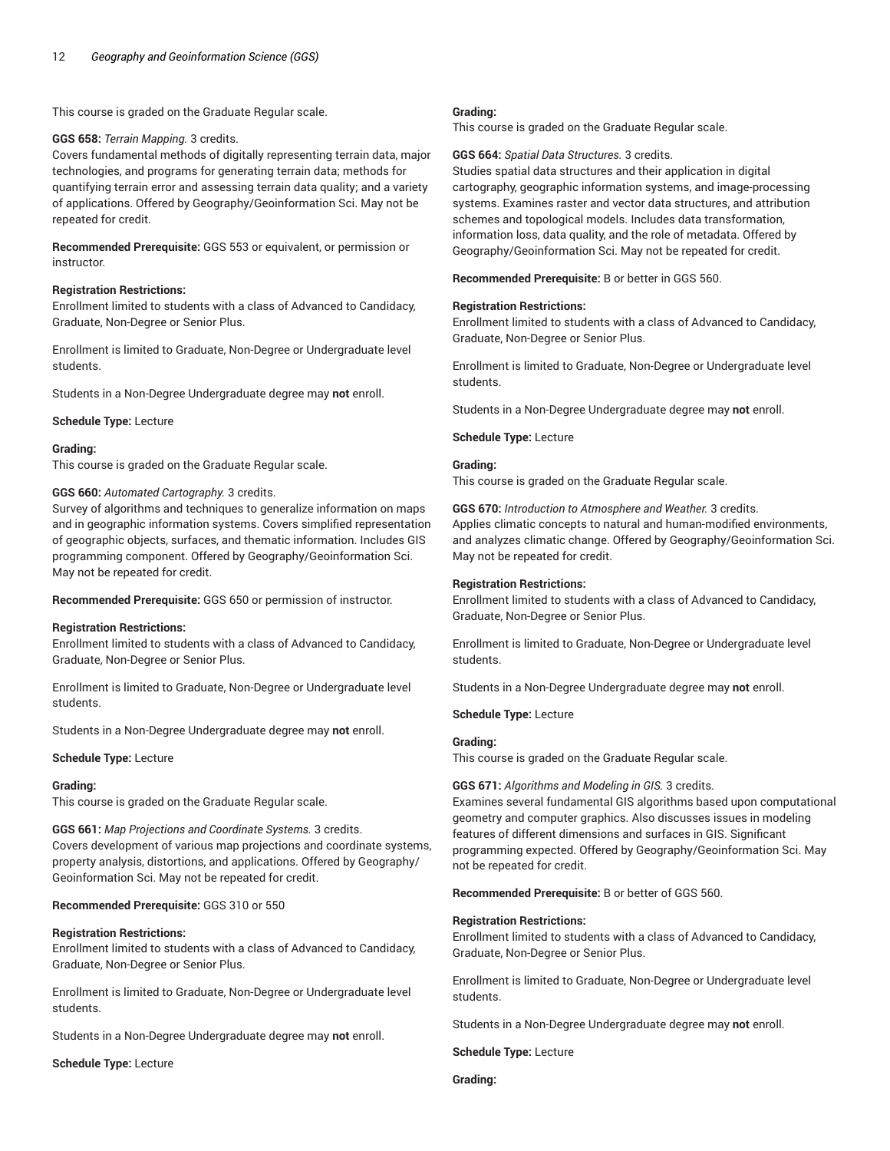This course is graded on the Graduate Regular scale.

#### **GGS 658:** *Terrain Mapping.* 3 credits.

Covers fundamental methods of digitally representing terrain data, major technologies, and programs for generating terrain data; methods for quantifying terrain error and assessing terrain data quality; and a variety of applications. Offered by Geography/Geoinformation Sci. May not be repeated for credit.

**Recommended Prerequisite:** GGS 553 or equivalent, or permission or instructor.

# **Registration Restrictions:**

Enrollment limited to students with a class of Advanced to Candidacy, Graduate, Non-Degree or Senior Plus.

Enrollment is limited to Graduate, Non-Degree or Undergraduate level students.

Students in a Non-Degree Undergraduate degree may **not** enroll.

**Schedule Type:** Lecture

#### **Grading:**

This course is graded on the Graduate Regular scale.

#### **GGS 660:** *Automated Cartography.* 3 credits.

Survey of algorithms and techniques to generalize information on maps and in geographic information systems. Covers simplified representation of geographic objects, surfaces, and thematic information. Includes GIS programming component. Offered by Geography/Geoinformation Sci. May not be repeated for credit.

**Recommended Prerequisite:** GGS 650 or permission of instructor.

#### **Registration Restrictions:**

Enrollment limited to students with a class of Advanced to Candidacy, Graduate, Non-Degree or Senior Plus.

Enrollment is limited to Graduate, Non-Degree or Undergraduate level students.

Students in a Non-Degree Undergraduate degree may **not** enroll.

#### **Schedule Type:** Lecture

#### **Grading:**

This course is graded on the Graduate Regular scale.

**GGS 661:** *Map Projections and Coordinate Systems.* 3 credits. Covers development of various map projections and coordinate systems, property analysis, distortions, and applications. Offered by Geography/ Geoinformation Sci. May not be repeated for credit.

# **Recommended Prerequisite:** GGS 310 or 550

# **Registration Restrictions:**

Enrollment limited to students with a class of Advanced to Candidacy, Graduate, Non-Degree or Senior Plus.

Enrollment is limited to Graduate, Non-Degree or Undergraduate level students.

Students in a Non-Degree Undergraduate degree may **not** enroll.

**Schedule Type:** Lecture

# **Grading:**

This course is graded on the Graduate Regular scale.

#### **GGS 664:** *Spatial Data Structures.* 3 credits.

Studies spatial data structures and their application in digital cartography, geographic information systems, and image-processing systems. Examines raster and vector data structures, and attribution schemes and topological models. Includes data transformation, information loss, data quality, and the role of metadata. Offered by Geography/Geoinformation Sci. May not be repeated for credit.

**Recommended Prerequisite:** B or better in GGS 560.

#### **Registration Restrictions:**

Enrollment limited to students with a class of Advanced to Candidacy, Graduate, Non-Degree or Senior Plus.

Enrollment is limited to Graduate, Non-Degree or Undergraduate level students.

Students in a Non-Degree Undergraduate degree may **not** enroll.

#### **Schedule Type:** Lecture

# **Grading:**

This course is graded on the Graduate Regular scale.

**GGS 670:** *Introduction to Atmosphere and Weather.* 3 credits.

Applies climatic concepts to natural and human-modified environments, and analyzes climatic change. Offered by Geography/Geoinformation Sci. May not be repeated for credit.

#### **Registration Restrictions:**

Enrollment limited to students with a class of Advanced to Candidacy, Graduate, Non-Degree or Senior Plus.

Enrollment is limited to Graduate, Non-Degree or Undergraduate level students.

Students in a Non-Degree Undergraduate degree may **not** enroll.

**Schedule Type:** Lecture

# **Grading:**

This course is graded on the Graduate Regular scale.

#### **GGS 671:** *Algorithms and Modeling in GIS.* 3 credits.

Examines several fundamental GIS algorithms based upon computational geometry and computer graphics. Also discusses issues in modeling features of different dimensions and surfaces in GIS. Significant programming expected. Offered by Geography/Geoinformation Sci. May not be repeated for credit.

# **Recommended Prerequisite:** B or better of GGS 560.

# **Registration Restrictions:**

Enrollment limited to students with a class of Advanced to Candidacy, Graduate, Non-Degree or Senior Plus.

Enrollment is limited to Graduate, Non-Degree or Undergraduate level students.

Students in a Non-Degree Undergraduate degree may **not** enroll.

**Schedule Type:** Lecture

**Grading:**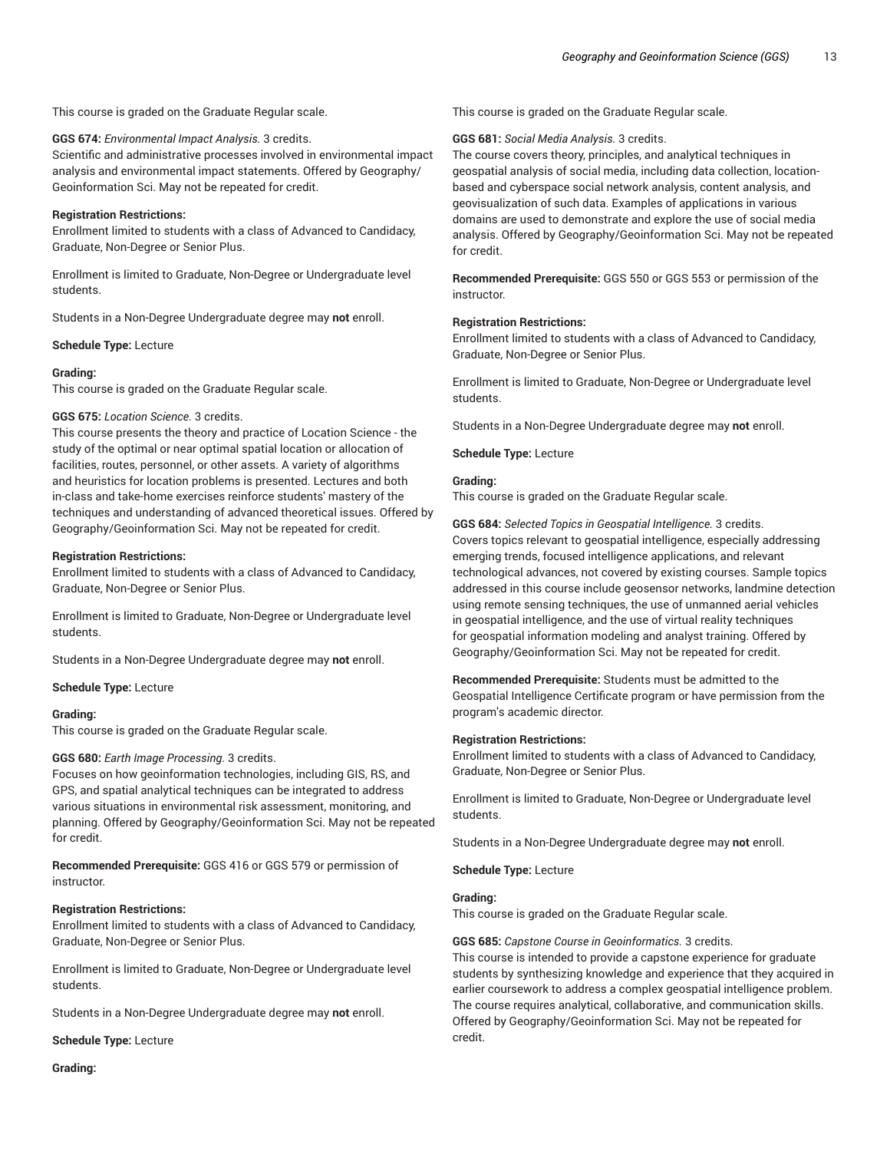#### This course is graded on the Graduate Regular scale.

#### **GGS 674:** *Environmental Impact Analysis.* 3 credits.

Scientific and administrative processes involved in environmental impact analysis and environmental impact statements. Offered by Geography/ Geoinformation Sci. May not be repeated for credit.

#### **Registration Restrictions:**

Enrollment limited to students with a class of Advanced to Candidacy, Graduate, Non-Degree or Senior Plus.

Enrollment is limited to Graduate, Non-Degree or Undergraduate level students.

Students in a Non-Degree Undergraduate degree may **not** enroll.

**Schedule Type:** Lecture

#### **Grading:**

This course is graded on the Graduate Regular scale.

#### **GGS 675:** *Location Science.* 3 credits.

This course presents the theory and practice of Location Science - the study of the optimal or near optimal spatial location or allocation of facilities, routes, personnel, or other assets. A variety of algorithms and heuristics for location problems is presented. Lectures and both in-class and take-home exercises reinforce students' mastery of the techniques and understanding of advanced theoretical issues. Offered by Geography/Geoinformation Sci. May not be repeated for credit.

#### **Registration Restrictions:**

Enrollment limited to students with a class of Advanced to Candidacy, Graduate, Non-Degree or Senior Plus.

Enrollment is limited to Graduate, Non-Degree or Undergraduate level students.

Students in a Non-Degree Undergraduate degree may **not** enroll.

**Schedule Type:** Lecture

#### **Grading:**

This course is graded on the Graduate Regular scale.

#### **GGS 680:** *Earth Image Processing.* 3 credits.

Focuses on how geoinformation technologies, including GIS, RS, and GPS, and spatial analytical techniques can be integrated to address various situations in environmental risk assessment, monitoring, and planning. Offered by Geography/Geoinformation Sci. May not be repeated for credit.

**Recommended Prerequisite:** GGS 416 or GGS 579 or permission of instructor.

# **Registration Restrictions:**

Enrollment limited to students with a class of Advanced to Candidacy, Graduate, Non-Degree or Senior Plus.

Enrollment is limited to Graduate, Non-Degree or Undergraduate level students.

Students in a Non-Degree Undergraduate degree may **not** enroll.

**Schedule Type:** Lecture

**Grading:**

This course is graded on the Graduate Regular scale.

#### **GGS 681:** *Social Media Analysis.* 3 credits.

The course covers theory, principles, and analytical techniques in geospatial analysis of social media, including data collection, locationbased and cyberspace social network analysis, content analysis, and geovisualization of such data. Examples of applications in various domains are used to demonstrate and explore the use of social media analysis. Offered by Geography/Geoinformation Sci. May not be repeated for credit.

**Recommended Prerequisite:** GGS 550 or GGS 553 or permission of the instructor.

#### **Registration Restrictions:**

Enrollment limited to students with a class of Advanced to Candidacy, Graduate, Non-Degree or Senior Plus.

Enrollment is limited to Graduate, Non-Degree or Undergraduate level students.

Students in a Non-Degree Undergraduate degree may **not** enroll.

**Schedule Type:** Lecture

# **Grading:**

This course is graded on the Graduate Regular scale.

**GGS 684:** *Selected Topics in Geospatial Intelligence.* 3 credits. Covers topics relevant to geospatial intelligence, especially addressing emerging trends, focused intelligence applications, and relevant technological advances, not covered by existing courses. Sample topics addressed in this course include geosensor networks, landmine detection using remote sensing techniques, the use of unmanned aerial vehicles in geospatial intelligence, and the use of virtual reality techniques for geospatial information modeling and analyst training. Offered by Geography/Geoinformation Sci. May not be repeated for credit.

**Recommended Prerequisite:** Students must be admitted to the Geospatial Intelligence Certificate program or have permission from the program's academic director.

#### **Registration Restrictions:**

Enrollment limited to students with a class of Advanced to Candidacy, Graduate, Non-Degree or Senior Plus.

Enrollment is limited to Graduate, Non-Degree or Undergraduate level students.

Students in a Non-Degree Undergraduate degree may **not** enroll.

**Schedule Type:** Lecture

#### **Grading:**

This course is graded on the Graduate Regular scale.

# **GGS 685:** *Capstone Course in Geoinformatics.* 3 credits.

This course is intended to provide a capstone experience for graduate students by synthesizing knowledge and experience that they acquired in earlier coursework to address a complex geospatial intelligence problem. The course requires analytical, collaborative, and communication skills. Offered by Geography/Geoinformation Sci. May not be repeated for credit.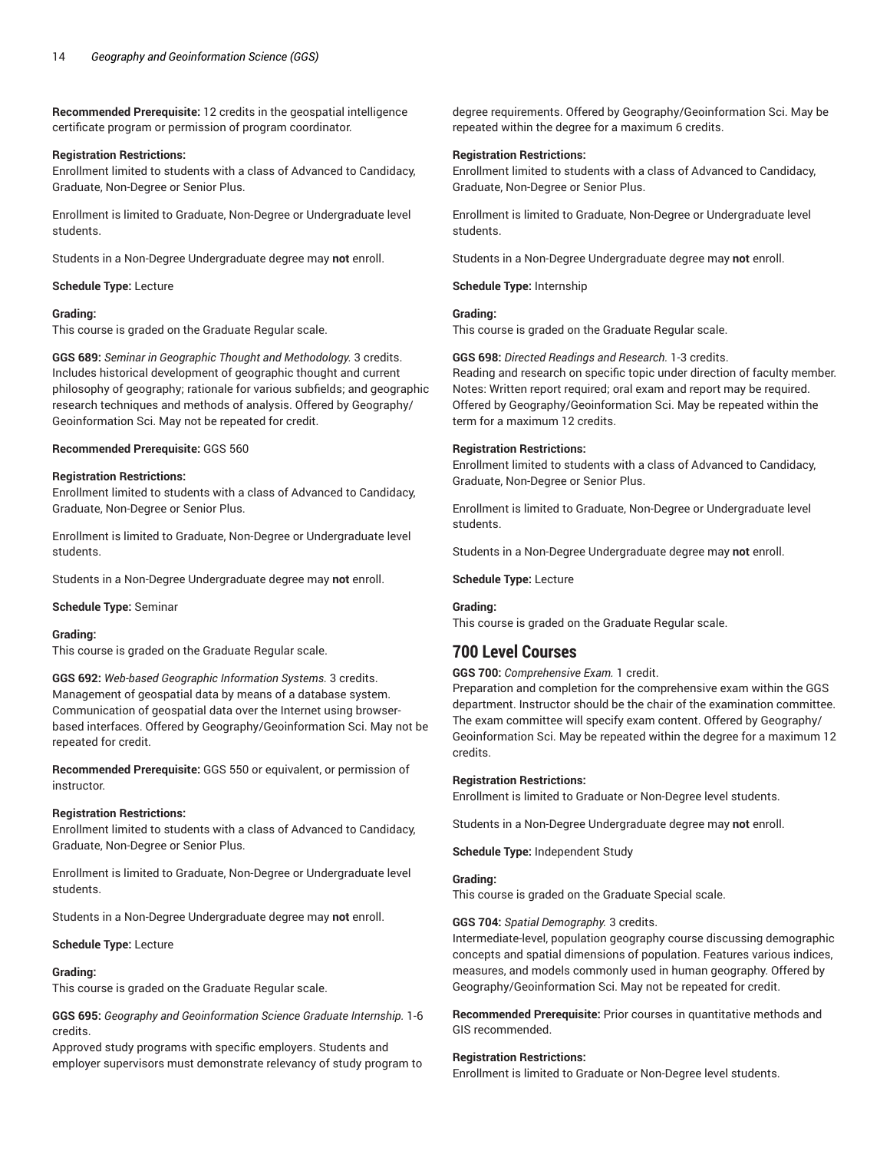**Recommended Prerequisite:** 12 credits in the geospatial intelligence certificate program or permission of program coordinator.

# **Registration Restrictions:**

Enrollment limited to students with a class of Advanced to Candidacy, Graduate, Non-Degree or Senior Plus.

Enrollment is limited to Graduate, Non-Degree or Undergraduate level students.

Students in a Non-Degree Undergraduate degree may **not** enroll.

**Schedule Type:** Lecture

# **Grading:**

This course is graded on the Graduate Regular scale.

**GGS 689:** *Seminar in Geographic Thought and Methodology.* 3 credits. Includes historical development of geographic thought and current philosophy of geography; rationale for various subfields; and geographic research techniques and methods of analysis. Offered by Geography/ Geoinformation Sci. May not be repeated for credit.

#### **Recommended Prerequisite:** GGS 560

#### **Registration Restrictions:**

Enrollment limited to students with a class of Advanced to Candidacy, Graduate, Non-Degree or Senior Plus.

Enrollment is limited to Graduate, Non-Degree or Undergraduate level students.

Students in a Non-Degree Undergraduate degree may **not** enroll.

**Schedule Type:** Seminar

#### **Grading:**

This course is graded on the Graduate Regular scale.

**GGS 692:** *Web-based Geographic Information Systems.* 3 credits. Management of geospatial data by means of a database system. Communication of geospatial data over the Internet using browserbased interfaces. Offered by Geography/Geoinformation Sci. May not be repeated for credit.

**Recommended Prerequisite:** GGS 550 or equivalent, or permission of instructor.

# **Registration Restrictions:**

Enrollment limited to students with a class of Advanced to Candidacy, Graduate, Non-Degree or Senior Plus.

Enrollment is limited to Graduate, Non-Degree or Undergraduate level students.

Students in a Non-Degree Undergraduate degree may **not** enroll.

#### **Schedule Type:** Lecture

#### **Grading:**

This course is graded on the Graduate Regular scale.

**GGS 695:** *Geography and Geoinformation Science Graduate Internship.* 1-6 credits.

Approved study programs with specific employers. Students and employer supervisors must demonstrate relevancy of study program to

degree requirements. Offered by Geography/Geoinformation Sci. May be repeated within the degree for a maximum 6 credits.

#### **Registration Restrictions:**

Enrollment limited to students with a class of Advanced to Candidacy, Graduate, Non-Degree or Senior Plus.

Enrollment is limited to Graduate, Non-Degree or Undergraduate level students.

Students in a Non-Degree Undergraduate degree may **not** enroll.

**Schedule Type:** Internship

# **Grading:**

This course is graded on the Graduate Regular scale.

**GGS 698:** *Directed Readings and Research.* 1-3 credits. Reading and research on specific topic under direction of faculty member. Notes: Written report required; oral exam and report may be required. Offered by Geography/Geoinformation Sci. May be repeated within the term for a maximum 12 credits.

#### **Registration Restrictions:**

Enrollment limited to students with a class of Advanced to Candidacy, Graduate, Non-Degree or Senior Plus.

Enrollment is limited to Graduate, Non-Degree or Undergraduate level students.

Students in a Non-Degree Undergraduate degree may **not** enroll.

#### **Schedule Type:** Lecture

**Grading:**

This course is graded on the Graduate Regular scale.

# **700 Level Courses**

**GGS 700:** *Comprehensive Exam.* 1 credit.

Preparation and completion for the comprehensive exam within the GGS department. Instructor should be the chair of the examination committee. The exam committee will specify exam content. Offered by Geography/ Geoinformation Sci. May be repeated within the degree for a maximum 12 credits.

#### **Registration Restrictions:**

Enrollment is limited to Graduate or Non-Degree level students.

Students in a Non-Degree Undergraduate degree may **not** enroll.

**Schedule Type:** Independent Study

# **Grading:**

This course is graded on the Graduate Special scale.

#### **GGS 704:** *Spatial Demography.* 3 credits.

Intermediate-level, population geography course discussing demographic concepts and spatial dimensions of population. Features various indices, measures, and models commonly used in human geography. Offered by Geography/Geoinformation Sci. May not be repeated for credit.

**Recommended Prerequisite:** Prior courses in quantitative methods and GIS recommended.

#### **Registration Restrictions:**

Enrollment is limited to Graduate or Non-Degree level students.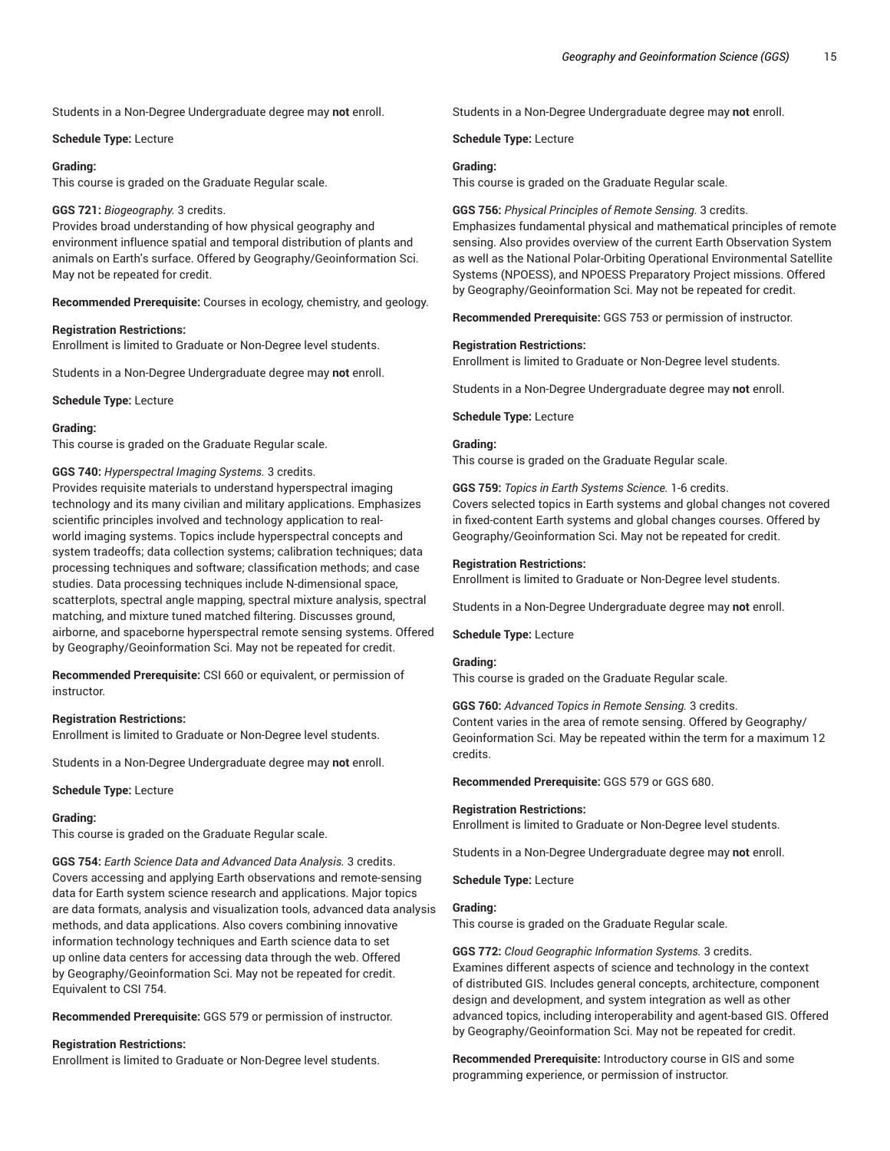Students in a Non-Degree Undergraduate degree may **not** enroll.

**Schedule Type:** Lecture

#### **Grading:**

This course is graded on the Graduate Regular scale.

#### **GGS 721:** *Biogeography.* 3 credits.

Provides broad understanding of how physical geography and environment influence spatial and temporal distribution of plants and animals on Earth's surface. Offered by Geography/Geoinformation Sci. May not be repeated for credit.

**Recommended Prerequisite:** Courses in ecology, chemistry, and geology.

#### **Registration Restrictions:**

Enrollment is limited to Graduate or Non-Degree level students.

Students in a Non-Degree Undergraduate degree may **not** enroll.

**Schedule Type:** Lecture

#### **Grading:**

This course is graded on the Graduate Regular scale.

**GGS 740:** *Hyperspectral Imaging Systems.* 3 credits.

Provides requisite materials to understand hyperspectral imaging technology and its many civilian and military applications. Emphasizes scientific principles involved and technology application to realworld imaging systems. Topics include hyperspectral concepts and system tradeoffs; data collection systems; calibration techniques; data processing techniques and software; classification methods; and case studies. Data processing techniques include N-dimensional space, scatterplots, spectral angle mapping, spectral mixture analysis, spectral matching, and mixture tuned matched filtering. Discusses ground, airborne, and spaceborne hyperspectral remote sensing systems. Offered by Geography/Geoinformation Sci. May not be repeated for credit.

**Recommended Prerequisite:** CSI 660 or equivalent, or permission of instructor.

#### **Registration Restrictions:**

Enrollment is limited to Graduate or Non-Degree level students.

Students in a Non-Degree Undergraduate degree may **not** enroll.

**Schedule Type:** Lecture

#### **Grading:**

This course is graded on the Graduate Regular scale.

**GGS 754:** *Earth Science Data and Advanced Data Analysis.* 3 credits. Covers accessing and applying Earth observations and remote-sensing data for Earth system science research and applications. Major topics are data formats, analysis and visualization tools, advanced data analysis methods, and data applications. Also covers combining innovative information technology techniques and Earth science data to set up online data centers for accessing data through the web. Offered by Geography/Geoinformation Sci. May not be repeated for credit. Equivalent to CSI 754.

**Recommended Prerequisite:** GGS 579 or permission of instructor.

# **Registration Restrictions:**

Enrollment is limited to Graduate or Non-Degree level students.

Students in a Non-Degree Undergraduate degree may **not** enroll.

**Schedule Type:** Lecture

# **Grading:**

This course is graded on the Graduate Regular scale.

#### **GGS 756:** *Physical Principles of Remote Sensing.* 3 credits.

Emphasizes fundamental physical and mathematical principles of remote sensing. Also provides overview of the current Earth Observation System as well as the National Polar-Orbiting Operational Environmental Satellite Systems (NPOESS), and NPOESS Preparatory Project missions. Offered by Geography/Geoinformation Sci. May not be repeated for credit.

**Recommended Prerequisite:** GGS 753 or permission of instructor.

#### **Registration Restrictions:**

Enrollment is limited to Graduate or Non-Degree level students.

Students in a Non-Degree Undergraduate degree may **not** enroll.

**Schedule Type:** Lecture

# **Grading:**

This course is graded on the Graduate Regular scale.

**GGS 759:** *Topics in Earth Systems Science.* 1-6 credits. Covers selected topics in Earth systems and global changes not covered in fixed-content Earth systems and global changes courses. Offered by Geography/Geoinformation Sci. May not be repeated for credit.

#### **Registration Restrictions:**

Enrollment is limited to Graduate or Non-Degree level students.

Students in a Non-Degree Undergraduate degree may **not** enroll.

**Schedule Type:** Lecture

#### **Grading:**

This course is graded on the Graduate Regular scale.

**GGS 760:** *Advanced Topics in Remote Sensing.* 3 credits. Content varies in the area of remote sensing. Offered by Geography/ Geoinformation Sci. May be repeated within the term for a maximum 12 credits.

**Recommended Prerequisite:** GGS 579 or GGS 680.

#### **Registration Restrictions:**

Enrollment is limited to Graduate or Non-Degree level students.

Students in a Non-Degree Undergraduate degree may **not** enroll.

**Schedule Type:** Lecture

# **Grading:**

This course is graded on the Graduate Regular scale.

**GGS 772:** *Cloud Geographic Information Systems.* 3 credits. Examines different aspects of science and technology in the context of distributed GIS. Includes general concepts, architecture, component design and development, and system integration as well as other advanced topics, including interoperability and agent-based GIS. Offered by Geography/Geoinformation Sci. May not be repeated for credit.

**Recommended Prerequisite:** Introductory course in GIS and some programming experience, or permission of instructor.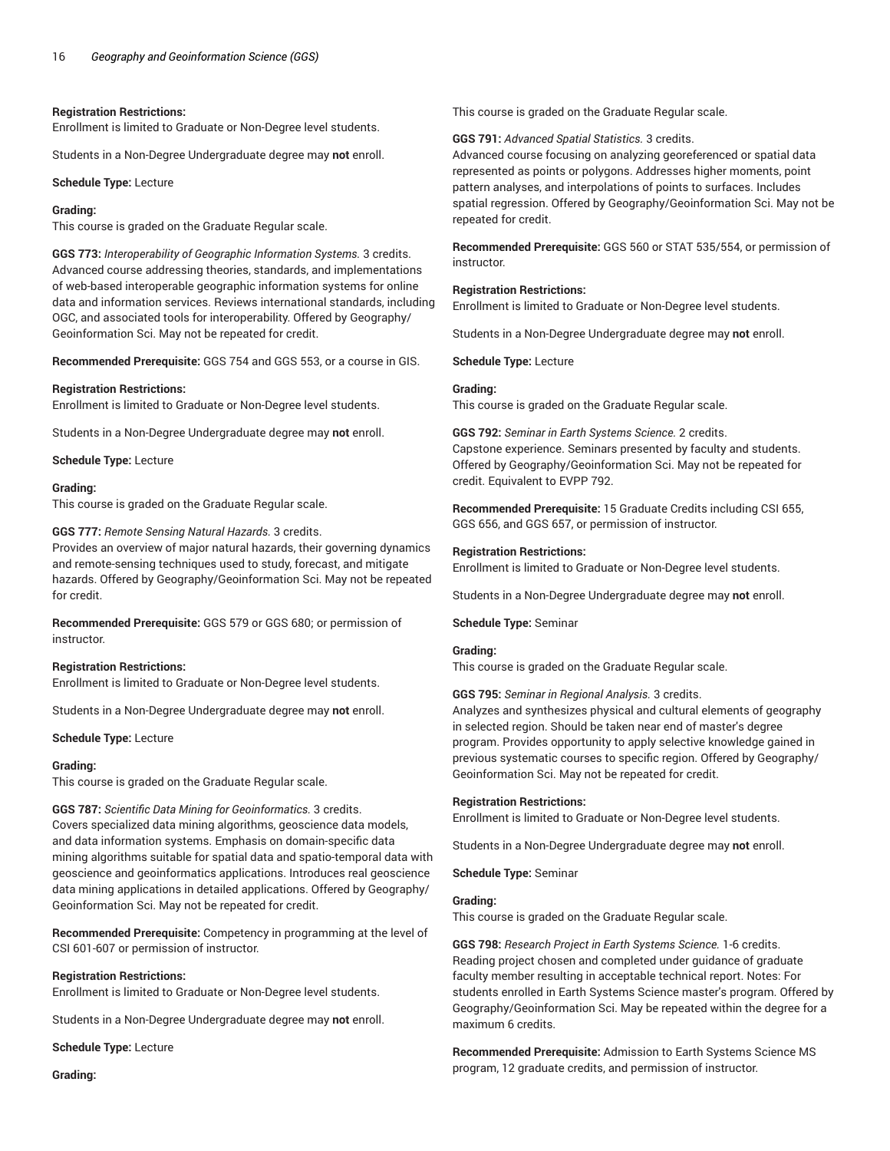# **Registration Restrictions:**

Enrollment is limited to Graduate or Non-Degree level students.

Students in a Non-Degree Undergraduate degree may **not** enroll.

**Schedule Type:** Lecture

# **Grading:**

This course is graded on the Graduate Regular scale.

**GGS 773:** *Interoperability of Geographic Information Systems.* 3 credits. Advanced course addressing theories, standards, and implementations of web-based interoperable geographic information systems for online data and information services. Reviews international standards, including OGC, and associated tools for interoperability. Offered by Geography/ Geoinformation Sci. May not be repeated for credit.

**Recommended Prerequisite:** GGS 754 and GGS 553, or a course in GIS.

# **Registration Restrictions:**

Enrollment is limited to Graduate or Non-Degree level students.

Students in a Non-Degree Undergraduate degree may **not** enroll.

**Schedule Type:** Lecture

# **Grading:**

This course is graded on the Graduate Regular scale.

**GGS 777:** *Remote Sensing Natural Hazards.* 3 credits.

Provides an overview of major natural hazards, their governing dynamics and remote-sensing techniques used to study, forecast, and mitigate hazards. Offered by Geography/Geoinformation Sci. May not be repeated for credit.

**Recommended Prerequisite:** GGS 579 or GGS 680; or permission of instructor.

#### **Registration Restrictions:**

Enrollment is limited to Graduate or Non-Degree level students.

Students in a Non-Degree Undergraduate degree may **not** enroll.

**Schedule Type:** Lecture

#### **Grading:**

This course is graded on the Graduate Regular scale.

**GGS 787:** *Scientific Data Mining for Geoinformatics.* 3 credits. Covers specialized data mining algorithms, geoscience data models, and data information systems. Emphasis on domain-specific data mining algorithms suitable for spatial data and spatio-temporal data with geoscience and geoinformatics applications. Introduces real geoscience data mining applications in detailed applications. Offered by Geography/ Geoinformation Sci. May not be repeated for credit.

**Recommended Prerequisite:** Competency in programming at the level of CSI 601-607 or permission of instructor.

# **Registration Restrictions:**

Enrollment is limited to Graduate or Non-Degree level students.

Students in a Non-Degree Undergraduate degree may **not** enroll.

**Schedule Type:** Lecture

**Grading:**

This course is graded on the Graduate Regular scale.

**GGS 791:** *Advanced Spatial Statistics.* 3 credits.

Advanced course focusing on analyzing georeferenced or spatial data represented as points or polygons. Addresses higher moments, point pattern analyses, and interpolations of points to surfaces. Includes spatial regression. Offered by Geography/Geoinformation Sci. May not be repeated for credit.

**Recommended Prerequisite:** GGS 560 or STAT 535/554, or permission of instructor.

# **Registration Restrictions:**

Enrollment is limited to Graduate or Non-Degree level students.

Students in a Non-Degree Undergraduate degree may **not** enroll.

**Schedule Type:** Lecture

# **Grading:**

This course is graded on the Graduate Regular scale.

**GGS 792:** *Seminar in Earth Systems Science.* 2 credits. Capstone experience. Seminars presented by faculty and students. Offered by Geography/Geoinformation Sci. May not be repeated for credit. Equivalent to EVPP 792.

**Recommended Prerequisite:** 15 Graduate Credits including CSI 655, GGS 656, and GGS 657, or permission of instructor.

# **Registration Restrictions:**

Enrollment is limited to Graduate or Non-Degree level students.

Students in a Non-Degree Undergraduate degree may **not** enroll.

**Schedule Type:** Seminar

# **Grading:**

This course is graded on the Graduate Regular scale.

**GGS 795:** *Seminar in Regional Analysis.* 3 credits.

Analyzes and synthesizes physical and cultural elements of geography in selected region. Should be taken near end of master's degree program. Provides opportunity to apply selective knowledge gained in previous systematic courses to specific region. Offered by Geography/ Geoinformation Sci. May not be repeated for credit.

# **Registration Restrictions:**

Enrollment is limited to Graduate or Non-Degree level students.

Students in a Non-Degree Undergraduate degree may **not** enroll.

**Schedule Type:** Seminar

# **Grading:**

This course is graded on the Graduate Regular scale.

**GGS 798:** *Research Project in Earth Systems Science.* 1-6 credits. Reading project chosen and completed under guidance of graduate faculty member resulting in acceptable technical report. Notes: For students enrolled in Earth Systems Science master's program. Offered by Geography/Geoinformation Sci. May be repeated within the degree for a maximum 6 credits.

**Recommended Prerequisite:** Admission to Earth Systems Science MS program, 12 graduate credits, and permission of instructor.